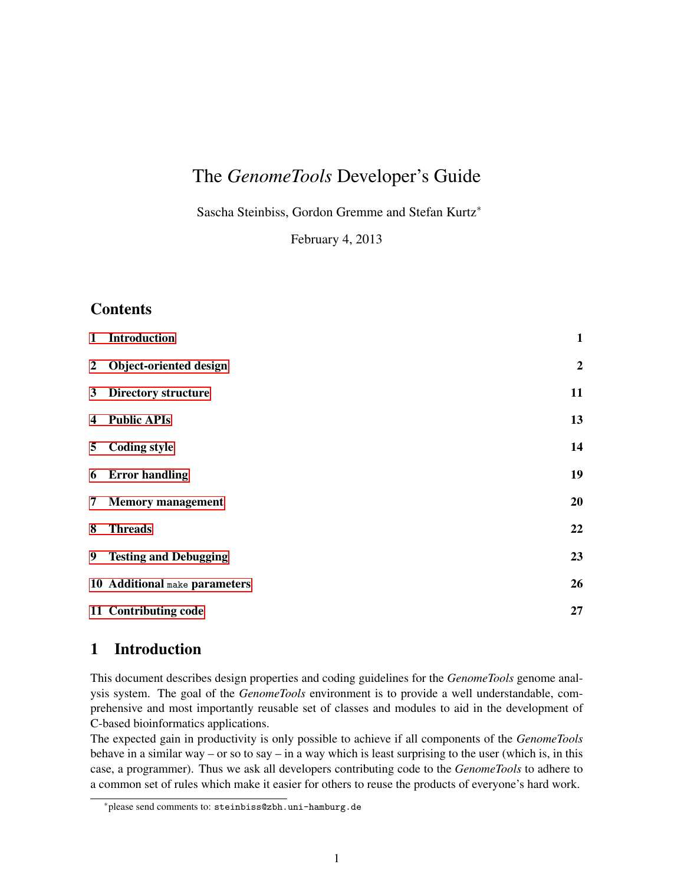# The *GenomeTools* Developer's Guide

Sascha Steinbiss, Gordon Gremme and Stefan Kurtz<sup>∗</sup>

February 4, 2013

# **Contents**

| $\mathbf{1}$            | <b>Introduction</b>           | $\mathbf{1}$     |
|-------------------------|-------------------------------|------------------|
| $\mathbf{2}$            | Object-oriented design        | $\boldsymbol{2}$ |
| 3 <sup>1</sup>          | <b>Directory structure</b>    | 11               |
| $\overline{\mathbf{4}}$ | <b>Public APIs</b>            | 13               |
| 5 <sup>5</sup>          | <b>Coding style</b>           | 14               |
|                         | 6 Error handling              | 19               |
|                         | 7 Memory management           | 20               |
| 8                       | <b>Threads</b>                | 22               |
|                         | 9 Testing and Debugging       | 23               |
|                         | 10 Additional make parameters | 26               |
|                         | 11 Contributing code          | 27               |

# <span id="page-0-0"></span>1 Introduction

This document describes design properties and coding guidelines for the *GenomeTools* genome analysis system. The goal of the *GenomeTools* environment is to provide a well understandable, comprehensive and most importantly reusable set of classes and modules to aid in the development of C-based bioinformatics applications.

The expected gain in productivity is only possible to achieve if all components of the *GenomeTools* behave in a similar way – or so to say – in a way which is least surprising to the user (which is, in this case, a programmer). Thus we ask all developers contributing code to the *GenomeTools* to adhere to a common set of rules which make it easier for others to reuse the products of everyone's hard work.

<sup>∗</sup>please send comments to: steinbiss@zbh.uni-hamburg.de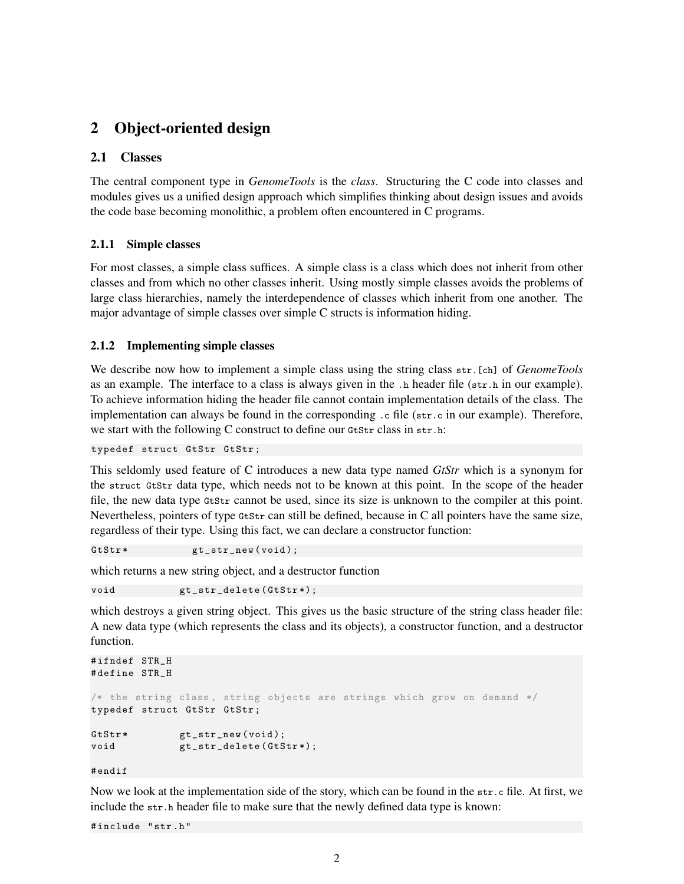# <span id="page-1-0"></span>2 Object-oriented design

## 2.1 Classes

The central component type in *GenomeTools* is the *class*. Structuring the C code into classes and modules gives us a unified design approach which simplifies thinking about design issues and avoids the code base becoming monolithic, a problem often encountered in C programs.

## 2.1.1 Simple classes

For most classes, a simple class suffices. A simple class is a class which does not inherit from other classes and from which no other classes inherit. Using mostly simple classes avoids the problems of large class hierarchies, namely the interdependence of classes which inherit from one another. The major advantage of simple classes over simple C structs is information hiding.

## <span id="page-1-1"></span>2.1.2 Implementing simple classes

We describe now how to implement a simple class using the string class str.[ch] of *GenomeTools* as an example. The interface to a class is always given in the .h header file (str.h in our example). To achieve information hiding the header file cannot contain implementation details of the class. The implementation can always be found in the corresponding  $\cdot$  c file ( $str.c$  in our example). Therefore, we start with the following C construct to define our GtStr class in str.h:

typedef struct GtStr GtStr ;

This seldomly used feature of C introduces a new data type named *GtStr* which is a synonym for the struct GtStr data type, which needs not to be known at this point. In the scope of the header file, the new data type GtStr cannot be used, since its size is unknown to the compiler at this point. Nevertheless, pointers of type GtStr can still be defined, because in C all pointers have the same size, regardless of their type. Using this fact, we can declare a constructor function:

GtStr\* gt\_str\_new (void);

which returns a new string object, and a destructor function

void  $gt\_str\_delete(GtStr*)$ ;

which destroys a given string object. This gives us the basic structure of the string class header file: A new data type (which represents the class and its objects), a constructor function, and a destructor function.

```
#ifndef STR H
# define STR_H
/* the string class, string objects are strings which grow on demand */
typedef struct GtStr GtStr ;
GtStr* gt_str_new (void);
void gt\_str\_delete(GtStr*);
```
# endif

Now we look at the implementation side of the story, which can be found in the str.c file. At first, we include the str.h header file to make sure that the newly defined data type is known:

# include " str . h "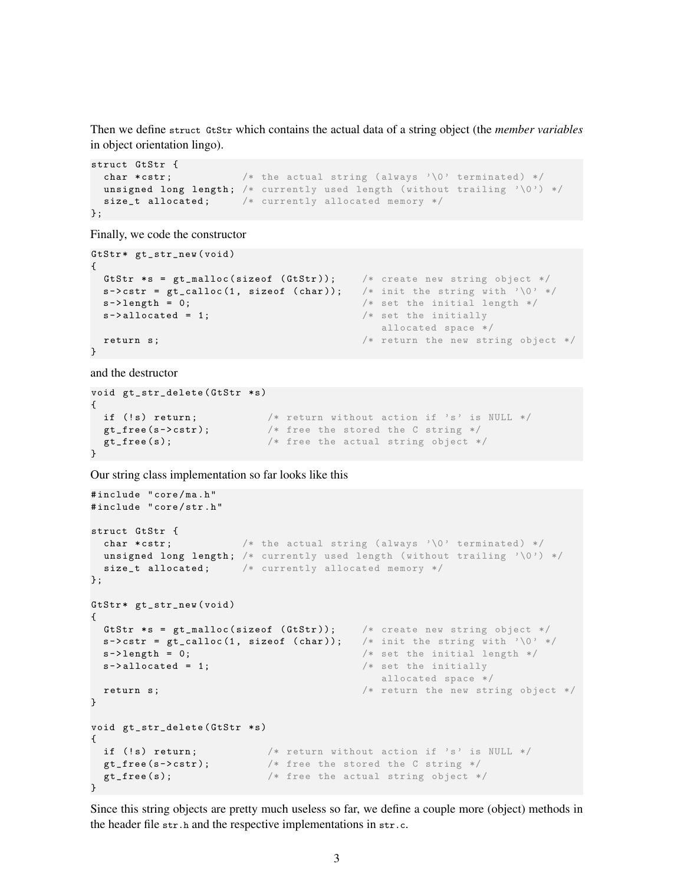Then we define struct GtStr which contains the actual data of a string object (the *member variables* in object orientation lingo).

```
struct GtStr {
 char *cstr; /* the actual string (always '\0' terminated) */
 unsigned long length; /* currently used length (without trailing '\0') */
 size_t allocated; /* currently allocated memory */
};
```
Finally, we code the constructor

```
GtStr* gt_str_new (void)
{
 GtStr *s = gt\_malloc(sizeof (GtStr)); /* create new string object */
 s->cstr = gt_calloc(1, sizeof (char)); /* init the string with '\0' */
 s - \lambda length = 0; \frac{1}{s} /* set the initial length */
 s->allocated = 1; \frac{1}{s} /* set the initially
                                         allocated space */
 return s; \hspace{1cm} /* return the new string object */
}
```
and the destructor

```
void gt_str_delete (GtStr *s)
{
if (!s) return; /* return without action if 's' is NULL */gt\_free(s->cstr); /* free the stored the C string */
gt\_free(s); /* free the actual string object */}
```
Our string class implementation so far looks like this

```
# include " core / ma . h "
# include " core / str . h "
struct GtStr {
 char *cstr; \hspace{1cm} /* the actual string (always '\0' terminated) */
 unsigned long length; /* currently used length (without trailing '\0') */
 size_t allocated; /* currently allocated memory */};
GtStr* gt_str_new (void)
{
 GtStr *s = gt\_malloc(sizeof (GtStr)); /* create new string object */s->cstr = gt_calloc(1, sizeof (char)); /* init the string with '\0' */
 s - \lambda length = 0; \lambda set the initial length \ast/
 s->allocated = 1; \frac{1}{s} /* set the initially
                                          allocated space */
 return s; \frac{1}{2} /* return the new string object */
}
void gt_str_delete (GtStr *s)
{
 if (!s) return; / /* return without action if 's' is NULL */gt\_free(s - \texttt{cdr}); /* free the stored the C string */gt\_free(s); /* free the actual string object */}
```
Since this string objects are pretty much useless so far, we define a couple more (object) methods in the header file str.h and the respective implementations in str.c.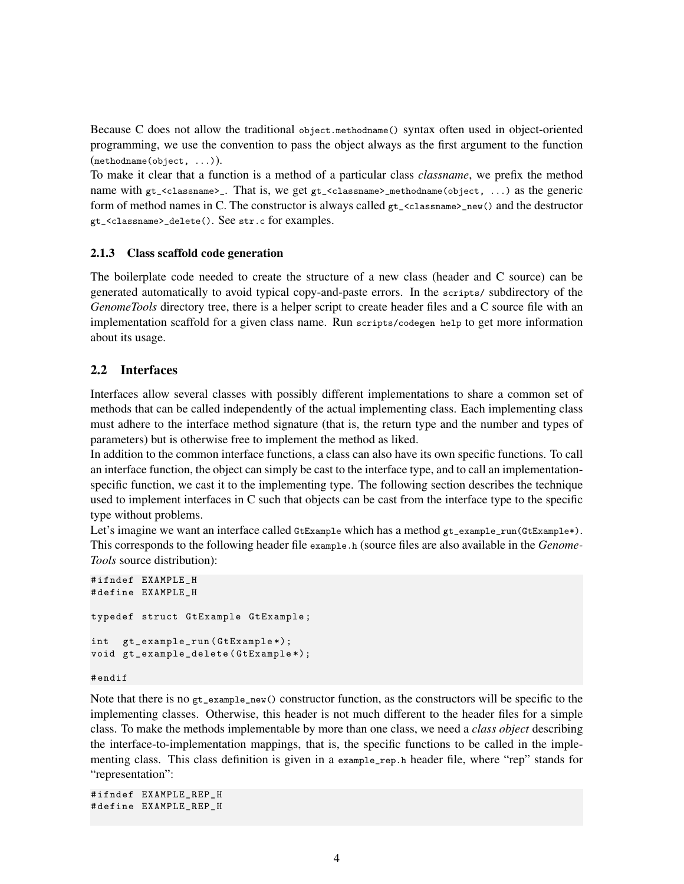Because C does not allow the traditional object.methodname() syntax often used in object-oriented programming, we use the convention to pass the object always as the first argument to the function (methodname(object, ...)).

To make it clear that a function is a method of a particular class *classname*, we prefix the method name with gt\_<classname>\_. That is, we get gt\_<classname>\_methodname(object, ...) as the generic form of method names in C. The constructor is always called  $g_{\tau_{\text{1}}}<$ classname>\_new() and the destructor gt\_<classname>\_delete(). See str.c for examples.

### 2.1.3 Class scaffold code generation

The boilerplate code needed to create the structure of a new class (header and C source) can be generated automatically to avoid typical copy-and-paste errors. In the scripts/ subdirectory of the *GenomeTools* directory tree, there is a helper script to create header files and a C source file with an implementation scaffold for a given class name. Run scripts/codegen help to get more information about its usage.

## 2.2 Interfaces

Interfaces allow several classes with possibly different implementations to share a common set of methods that can be called independently of the actual implementing class. Each implementing class must adhere to the interface method signature (that is, the return type and the number and types of parameters) but is otherwise free to implement the method as liked.

In addition to the common interface functions, a class can also have its own specific functions. To call an interface function, the object can simply be cast to the interface type, and to call an implementationspecific function, we cast it to the implementing type. The following section describes the technique used to implement interfaces in C such that objects can be cast from the interface type to the specific type without problems.

Let's imagine we want an interface called GtExample which has a method  $gt_{\text{e}}$ -example\_run(GtExample\*). This corresponds to the following header file example.h (source files are also available in the *Genome-Tools* source distribution):

```
# ifndef EXAMPLE_H
# define EXAMPLE_H
typedef struct GtExample GtExample ;
int gt_example_run ( GtExample *);
void gt_example_delete ( GtExample *);
```
#### # endif

Note that there is no gt\_example\_new() constructor function, as the constructors will be specific to the implementing classes. Otherwise, this header is not much different to the header files for a simple class. To make the methods implementable by more than one class, we need a *class object* describing the interface-to-implementation mappings, that is, the specific functions to be called in the implementing class. This class definition is given in a example\_rep.h header file, where "rep" stands for "representation":

```
# ifndef EXAMPLE_REP_H
# define EXAMPLE_REP_H
```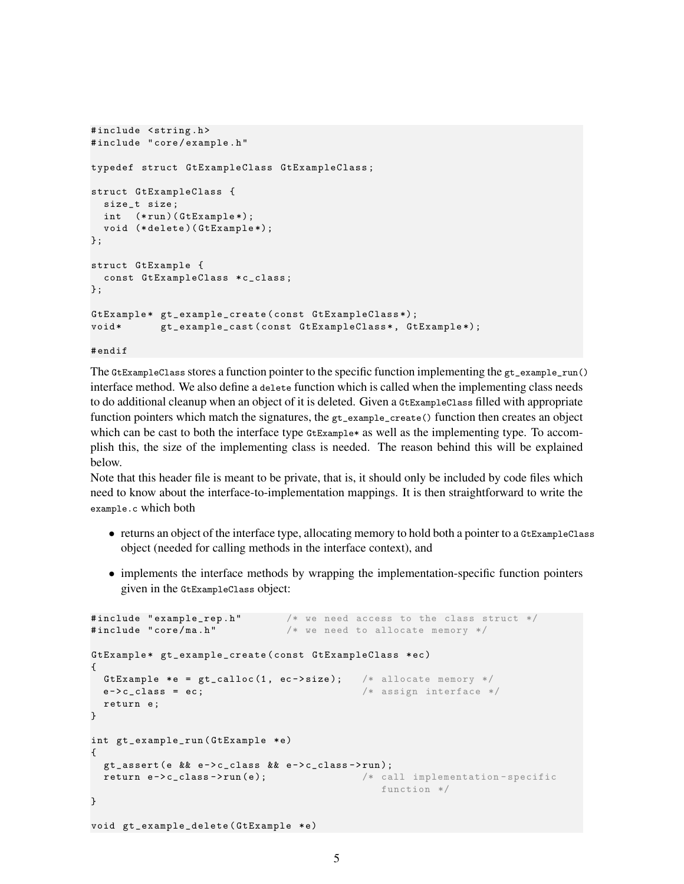```
#include <string.h>
# include " core / example . h "
typedef struct GtExampleClass GtExampleClass ;
struct GtExampleClass {
 size_t size ;
 int (*run) (GtExample*);
 void (* delete )( GtExample *);
};
struct GtExample {
 const GtExampleClass *c_class;
};
GtExample * gt_example_create ( const GtExampleClass *);
void* gt_example_cast(const GtExampleClass*, GtExample*);
```
# endif

The GtExampleClass stores a function pointer to the specific function implementing the gt\_example\_run() interface method. We also define a delete function which is called when the implementing class needs to do additional cleanup when an object of it is deleted. Given a GtExampleClass filled with appropriate function pointers which match the signatures, the gt\_example\_create() function then creates an object which can be cast to both the interface type GtExample\* as well as the implementing type. To accomplish this, the size of the implementing class is needed. The reason behind this will be explained below.

Note that this header file is meant to be private, that is, it should only be included by code files which need to know about the interface-to-implementation mappings. It is then straightforward to write the example.c which both

- returns an object of the interface type, allocating memory to hold both a pointer to a GtExampleClass object (needed for calling methods in the interface context), and
- implements the interface methods by wrapping the implementation-specific function pointers given in the GtExampleClass object:

```
#include "example_rep.h" /* we need access to the class struct */\#include "core/ma.h" /* we need to allocate memory */GtExample * gt_example_create ( const GtExampleClass * ec )
{
 GtExample *e = gt_calloc(1, ec->size); /* allocate memory */
 e - \verb|c_class = ec; | /* assign interface */
 return e;
}
int gt_example_run ( GtExample *e)
{
 gt_assert ( e && e - > c_class && e - > c_class - > run );
 return e->c_class->run(e); \qquad /* call implementation-specific
                                            function */
}
void gt_example_delete (GtExample *e)
```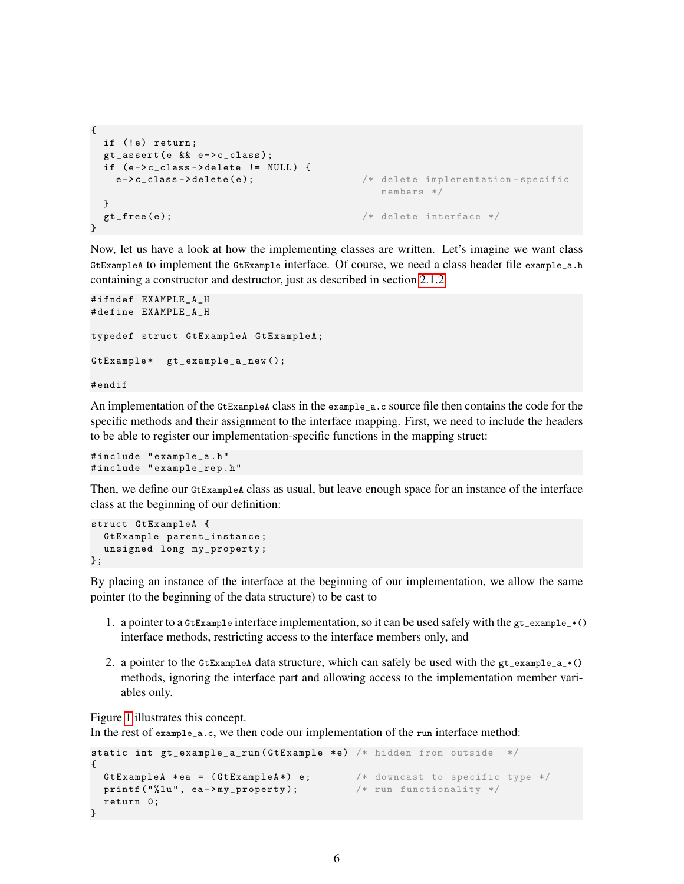```
{
 if (!e) return;
 gt\_assert (e && e->c_class);
 if (e - > c_{\text{class}} - > delete != NULL) {
   e->c_class->delete(e); * delete implementation-specific
                                           members */
 }
 gt_free(e); \qquad \qquad /* delete interface */
}
```
Now, let us have a look at how the implementing classes are written. Let's imagine we want class GtExampleA to implement the GtExample interface. Of course, we need a class header file example\_a.h containing a constructor and destructor, just as described in section [2.1.2:](#page-1-1)

```
#ifndef EXAMPLE A H
# define EXAMPLE_A_H
typedef struct GtExampleA GtExampleA ;
GtExample* gt_example_a_new();
# endif
```
An implementation of the  $G$ t ExampleA class in the example<sub>-a</sub>.c source file then contains the code for the specific methods and their assignment to the interface mapping. First, we need to include the headers to be able to register our implementation-specific functions in the mapping struct:

```
# include " example_a . h "
# include " example_rep . h "
```
Then, we define our GtExampleA class as usual, but leave enough space for an instance of the interface class at the beginning of our definition:

```
struct GtExampleA {
  GtExample parent_instance ;
 unsigned long my_property ;
};
```
By placing an instance of the interface at the beginning of our implementation, we allow the same pointer (to the beginning of the data structure) to be cast to

- 1. a pointer to a GtExample interface implementation, so it can be used safely with the gt\_example\_\*() interface methods, restricting access to the interface members only, and
- 2. a pointer to the GtExampleA data structure, which can safely be used with the  $gt\_example_a*()$ methods, ignoring the interface part and allowing access to the implementation member variables only.

Figure [1](#page-6-0) illustrates this concept.

In the rest of example<sub>q</sub> a.c, we then code our implementation of the run interface method:

```
static int gt_example_a_run ( GtExample *e) /* hidden from outside */
{
 GtExampleA *ea = (GtExampleA*) e; /* downcast to specific type */print(f("\\lambda", ea->my\_property); /* run functionality */
 return 0;
}
```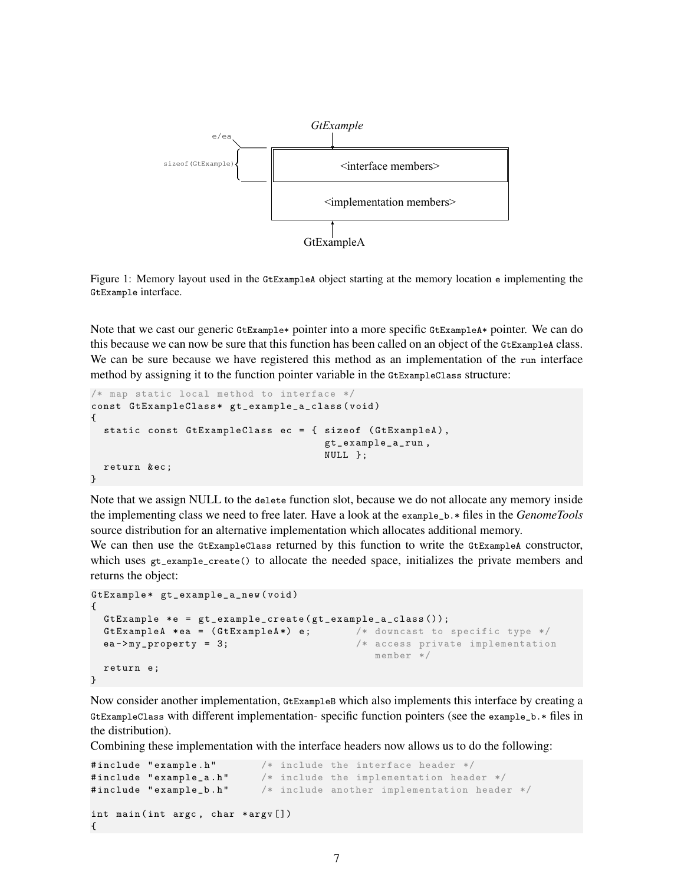<span id="page-6-0"></span>

Figure 1: Memory layout used in the GtExampleA object starting at the memory location e implementing the GtExample interface.

Note that we cast our generic GtExample\* pointer into a more specific GtExampleA\* pointer. We can do this because we can now be sure that this function has been called on an object of the GtExampleA class. We can be sure because we have registered this method as an implementation of the run interface method by assigning it to the function pointer variable in the GtExampleClass structure:

```
/* map static local method to interface */
const GtExampleClass* gt_example_a_class (void)
{
  static const GtExampleClass ec = { sizeof ( GtExampleA ) ,
                                       gt_example_a_run ,
                                       NULL };
  return & ec ;
}
```
Note that we assign NULL to the delete function slot, because we do not allocate any memory inside the implementing class we need to free later. Have a look at the example\_b.\* files in the *GenomeTools* source distribution for an alternative implementation which allocates additional memory.

We can then use the GtExampleClass returned by this function to write the GtExampleA constructor, which uses gt\_example\_create() to allocate the needed space, initializes the private members and returns the object:

```
GtExample * gt_example_a_new ( void )
{
 GtExample *e = gt_example_create(gt_example_a_class());
 GtExampleA *ea = (GtExampleA*) e; /* downcast to specific type */ea - > my_property = 3; /* access private implementation
                                          member */
 return e;
}
```
Now consider another implementation, GtExampleB which also implements this interface by creating a GtExampleClass with different implementation- specific function pointers (see the example\_b.\* files in the distribution).

Combining these implementation with the interface headers now allows us to do the following:

```
#include "example.h" /* include the interface header */
#include "example_a.h" /* include the implementation header */
#include "example_b.h" /* include another implementation header */
int main (int argc, char *argv [])
{
```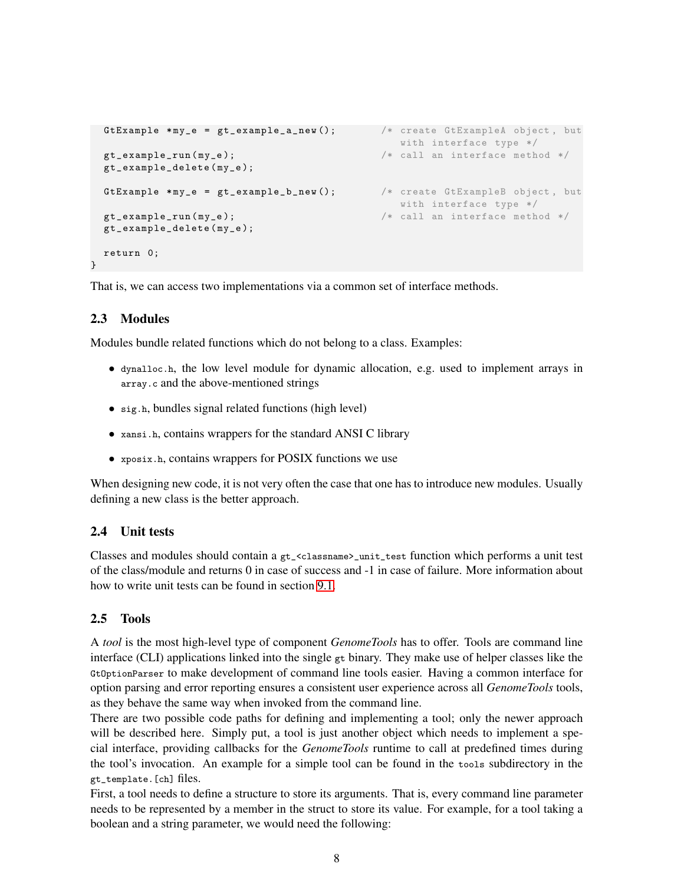```
GtExample *my_e = gt_example_a_new (); \qquad /* create GtExampleA object, but
                                           with interface type */
gt_example_run ( my_e ); /* call an interface method */
gt_example_delete ( my_e );
GtExample *my_e = gt_example_b_new (); /* create GtExampleB object, but
                                           with interface type */
gt_example_run(my_e); \qquad /* call an interface method */
gt_example_delete ( my_e );
return 0;
```
That is, we can access two implementations via a common set of interface methods.

## 2.3 Modules

}

Modules bundle related functions which do not belong to a class. Examples:

- dynalloc.h, the low level module for dynamic allocation, e.g. used to implement arrays in array.c and the above-mentioned strings
- sig.h, bundles signal related functions (high level)
- xansi.h, contains wrappers for the standard ANSI C library
- xposix.h, contains wrappers for POSIX functions we use

When designing new code, it is not very often the case that one has to introduce new modules. Usually defining a new class is the better approach.

#### 2.4 Unit tests

Classes and modules should contain a gt\_<classname>\_unit\_test function which performs a unit test of the class/module and returns 0 in case of success and -1 in case of failure. More information about how to write unit tests can be found in section [9.1.](#page-22-1)

#### 2.5 Tools

A *tool* is the most high-level type of component *GenomeTools* has to offer. Tools are command line interface (CLI) applications linked into the single gt binary. They make use of helper classes like the GtOptionParser to make development of command line tools easier. Having a common interface for option parsing and error reporting ensures a consistent user experience across all *GenomeTools* tools, as they behave the same way when invoked from the command line.

There are two possible code paths for defining and implementing a tool; only the newer approach will be described here. Simply put, a tool is just another object which needs to implement a special interface, providing callbacks for the *GenomeTools* runtime to call at predefined times during the tool's invocation. An example for a simple tool can be found in the tools subdirectory in the gt\_template.[ch] files.

First, a tool needs to define a structure to store its arguments. That is, every command line parameter needs to be represented by a member in the struct to store its value. For example, for a tool taking a boolean and a string parameter, we would need the following: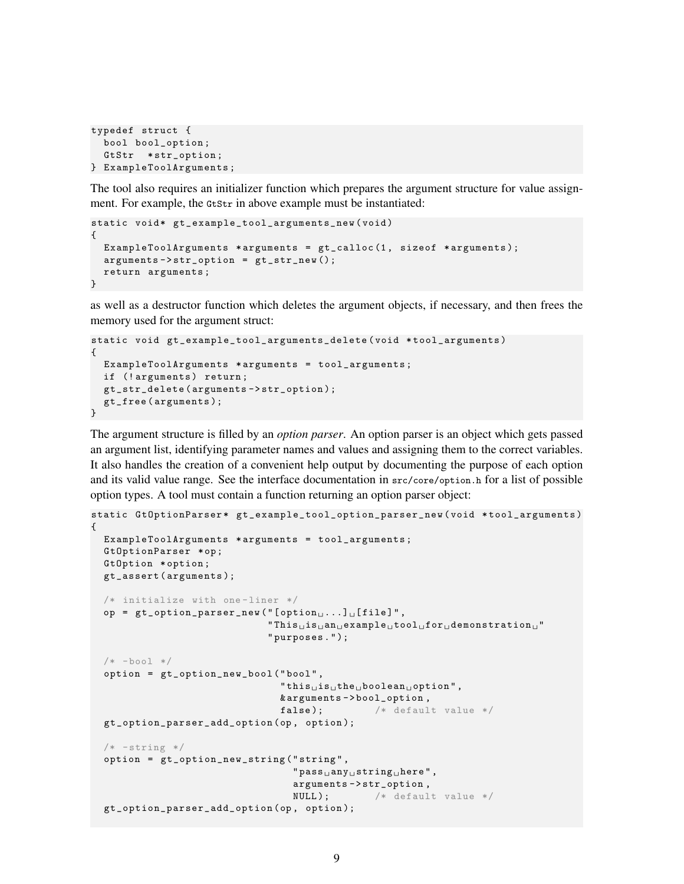```
typedef struct {
  bool bool_option ;
  GtStr *str_option;
} ExampleToolArguments ;
```
The tool also requires an initializer function which prepares the argument structure for value assignment. For example, the GtStr in above example must be instantiated:

```
static void* gt_example_tool_arguments_new (void)
{
  ExampleToolArguments * arguments = gt\_calloc(1, sizeof * arguments);arguments - > str\_option = gt\_str\_new();
  return arguments ;
}
```
as well as a destructor function which deletes the argument objects, if necessary, and then frees the memory used for the argument struct:

```
static void gt_example_tool_arguments_delete ( void * tool_arguments )
{
  ExampleToolArguments * arguments = tool_arguments ;
  if (!arguments) return;
  gt_str_delete ( arguments - > str_option );
  gt_free ( arguments );
}
```
The argument structure is filled by an *option parser*. An option parser is an object which gets passed an argument list, identifying parameter names and values and assigning them to the correct variables. It also handles the creation of a convenient help output by documenting the purpose of each option and its valid value range. See the interface documentation in src/core/option.h for a list of possible option types. A tool must contain a function returning an option parser object:

```
static GtOptionParser * gt_example_tool_option_parser_new ( void * tool_arguments )
{
  ExampleToolArguments *arguments = tool_arguments;
  GtOptionParser *op;
  GtOption * option ;
  gt_assert ( arguments );
  /* initialize with one-liner */op = gt-option_parser_new ("[option_1 \ldots][file]",
                                   "This<sub>U</sub> is<sub>U</sub> an<sub>U</sub> example<sub>U</sub> too1<sub>U</sub> for<sub>U</sub> demonstrates" purposes . " );
  /* -bool */option = gt_option_new_bool ( " bool " ,
                                     "this\text{dis}_\sqcupthe\sqcupboolean\sqcupoption",
                                     & arguments - > bool_option ,
                                     false); /* default value */gt_option_parser_add_option ( op , option );
  /* -string */option = gt_option_new_string ( " string " ,
                                        "pass<sub>u</sub>any<sub>u</sub>string<sub>u</sub>here",arguments - > str_option ,
                                       NULL); /* default value */gt_option_parser_add_option ( op , option );
```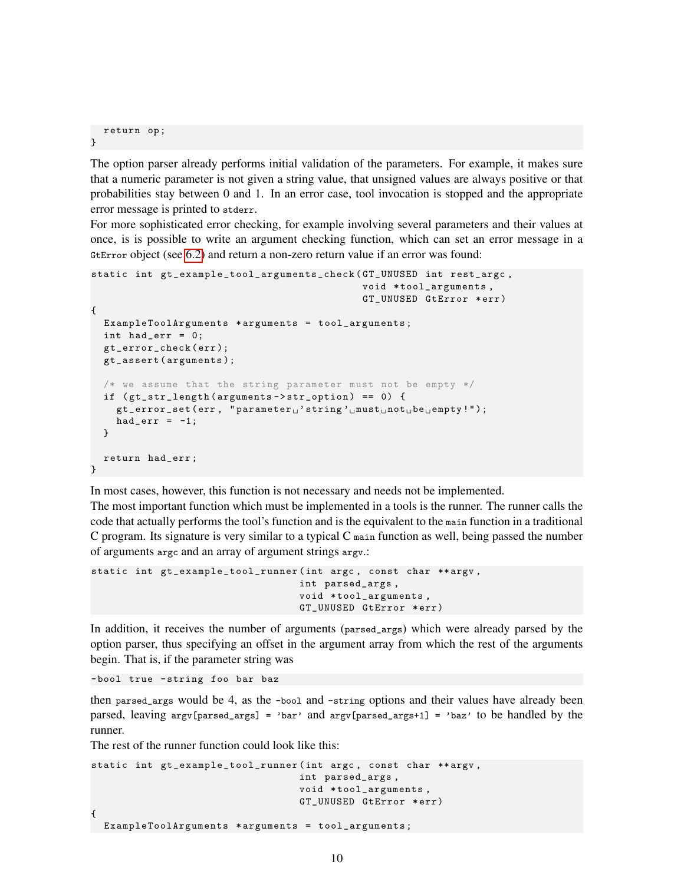```
return op ;
}
```
The option parser already performs initial validation of the parameters. For example, it makes sure that a numeric parameter is not given a string value, that unsigned values are always positive or that probabilities stay between 0 and 1. In an error case, tool invocation is stopped and the appropriate error message is printed to stderr.

For more sophisticated error checking, for example involving several parameters and their values at once, is is possible to write an argument checking function, which can set an error message in a GtError object (see [6.2\)](#page-19-1) and return a non-zero return value if an error was found:

```
static int gt_example_tool_arguments_check ( GT_UNUSED int rest_argc ,
                                                    void *tool_arguments,
                                                    GT_UNUSED GtError * err )
{
  ExampleToolArguments * arguments = tool_arguments ;
  int had_err = 0;
  gt_error_check ( err );
  gt_assert ( arguments );
  /* we assume that the string parameter must not be empty */
  if ( gt_str_length ( arguments - > str_option ) == 0) {
    gt\_error\_set(err, "parameter<sub>u</sub>'string' <sub>u</sub> must<sub>u</sub>not<sub>u</sub>be<sub>u</sub>empty)!");had_err = -1;
  }
  return had_err ;
}
```
In most cases, however, this function is not necessary and needs not be implemented.

The most important function which must be implemented in a tools is the runner. The runner calls the code that actually performs the tool's function and is the equivalent to the main function in a traditional C program. Its signature is very similar to a typical C main function as well, being passed the number of arguments argc and an array of argument strings argv.:

```
static int gt_example_tool_runner (int argc, const char **argv,
                                  int parsed_args ,
                                  void *tool_arguments,
                                  GT_UNUSED GtError * err )
```
In addition, it receives the number of arguments (parsed\_args) which were already parsed by the option parser, thus specifying an offset in the argument array from which the rest of the arguments begin. That is, if the parameter string was

-bool true - string foo bar baz

then parsed\_args would be 4, as the -bool and -string options and their values have already been parsed, leaving  $\arg v$  [parsed\_args] = 'bar' and  $\arg v$  [parsed\_args+1] = 'baz' to be handled by the runner.

The rest of the runner function could look like this:

```
static int gt_example_tool_runner (int argc, const char **argv,
                                   int parsed_args ,
                                   void * tool_arguments ,
                                   GT_UNUSED GtError * err )
{
 ExampleToolArguments * arguments = tool_arguments ;
```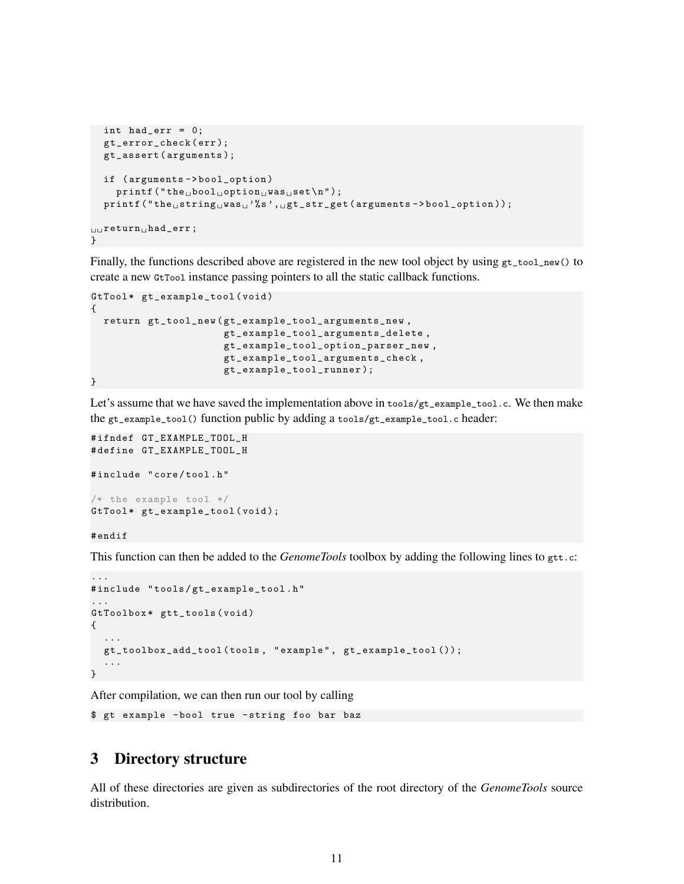```
int had_err = 0;
  gt_error_check ( err );
   gt_assert ( arguments );
  if ( arguments - > bool_option )
      print(f("the <sub>u</sub>bool <sub>u</sub> option <sub>u</sub>was <sub>u</sub>set\nu");print(f("the<sub>U</sub>string<sub>U</sub>was<sub>U</sub><sup>'</sup>,"s', ugt_str_get (arguments ->bool_option));
\Boxreturn\Boxhad_err;
}
```
Finally, the functions described above are registered in the new tool object by using  $gt\_tool_new()$  to create a new GtTool instance passing pointers to all the static callback functions.

```
GtTool* gt_example_tool(void)
{
 return gt_tool_new ( gt_example_tool_arguments_new ,
                      gt_example_tool_arguments_delete ,
                      gt_example_tool_option_parser_new ,
                      gt_example_tool_arguments_check ,
                      gt_example_tool_runner );
}
```
Let's assume that we have saved the implementation above in tools/gt\_example\_tool.c. We then make the gt\_example\_tool() function public by adding a tools/gt\_example\_tool.c header:

```
# ifndef GT_EXAMPLE_TOOL_H
# define GT_EXAMPLE_TOOL_H
# include " core / tool . h "
/* the example tool */
GtTool* gt_example_tool(void);
```
# endif

This function can then be added to the *GenomeTools* toolbox by adding the following lines to gtt.c:

```
...
# include " tools / gt_example_tool . h "
...
GtToolbox* gtt_tools (void)
{
  ...
  gt_toolbox_add_tool ( tools , " example " , gt_example_tool ());
  ...
}
```
After compilation, we can then run our tool by calling

```
$ gt example - bool true - string foo bar baz
```
## <span id="page-10-0"></span>3 Directory structure

All of these directories are given as subdirectories of the root directory of the *GenomeTools* source distribution.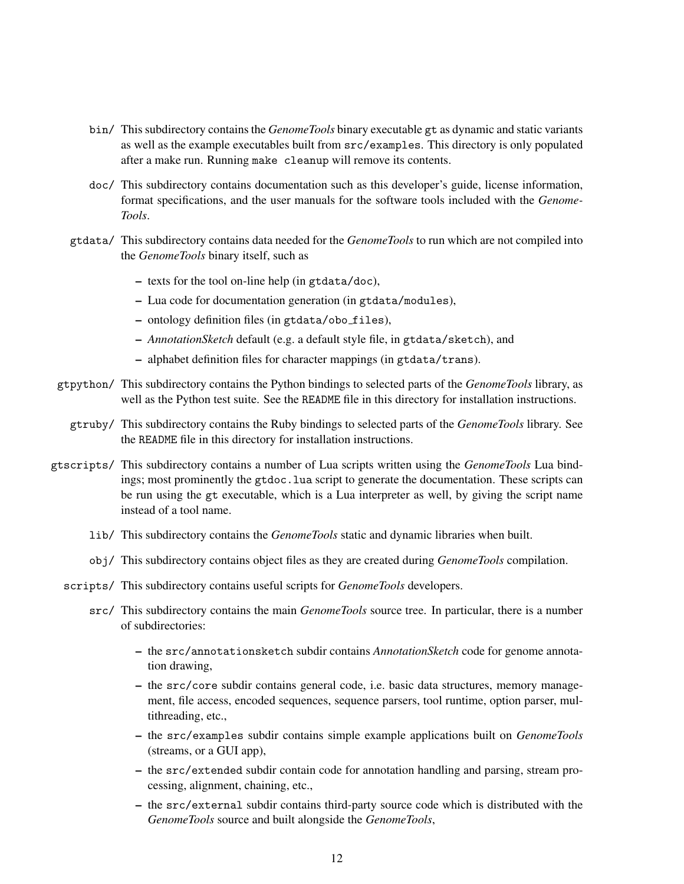- bin/ This subdirectory contains the *GenomeTools* binary executable gt as dynamic and static variants as well as the example executables built from src/examples. This directory is only populated after a make run. Running make cleanup will remove its contents.
- doc/ This subdirectory contains documentation such as this developer's guide, license information, format specifications, and the user manuals for the software tools included with the *Genome-Tools*.
- gtdata/ This subdirectory contains data needed for the *GenomeTools* to run which are not compiled into the *GenomeTools* binary itself, such as
	- texts for the tool on-line help (in gtdata/doc),
	- Lua code for documentation generation (in gtdata/modules),
	- ontology definition files (in gtdata/obo files),
	- *AnnotationSketch* default (e.g. a default style file, in gtdata/sketch), and
	- alphabet definition files for character mappings (in gtdata/trans).
- gtpython/ This subdirectory contains the Python bindings to selected parts of the *GenomeTools* library, as well as the Python test suite. See the README file in this directory for installation instructions.
	- gtruby/ This subdirectory contains the Ruby bindings to selected parts of the *GenomeTools* library. See the README file in this directory for installation instructions.
- gtscripts/ This subdirectory contains a number of Lua scripts written using the *GenomeTools* Lua bindings; most prominently the gtdoc.lua script to generate the documentation. These scripts can be run using the gt executable, which is a Lua interpreter as well, by giving the script name instead of a tool name.
	- lib/ This subdirectory contains the *GenomeTools* static and dynamic libraries when built.
	- obj/ This subdirectory contains object files as they are created during *GenomeTools* compilation.
	- scripts/ This subdirectory contains useful scripts for *GenomeTools* developers.
		- src/ This subdirectory contains the main *GenomeTools* source tree. In particular, there is a number of subdirectories:
			- the src/annotationsketch subdir contains *AnnotationSketch* code for genome annotation drawing,
			- the src/core subdir contains general code, i.e. basic data structures, memory management, file access, encoded sequences, sequence parsers, tool runtime, option parser, multithreading, etc.,
			- the src/examples subdir contains simple example applications built on *GenomeTools* (streams, or a GUI app),
			- the src/extended subdir contain code for annotation handling and parsing, stream processing, alignment, chaining, etc.,
			- the src/external subdir contains third-party source code which is distributed with the *GenomeTools* source and built alongside the *GenomeTools*,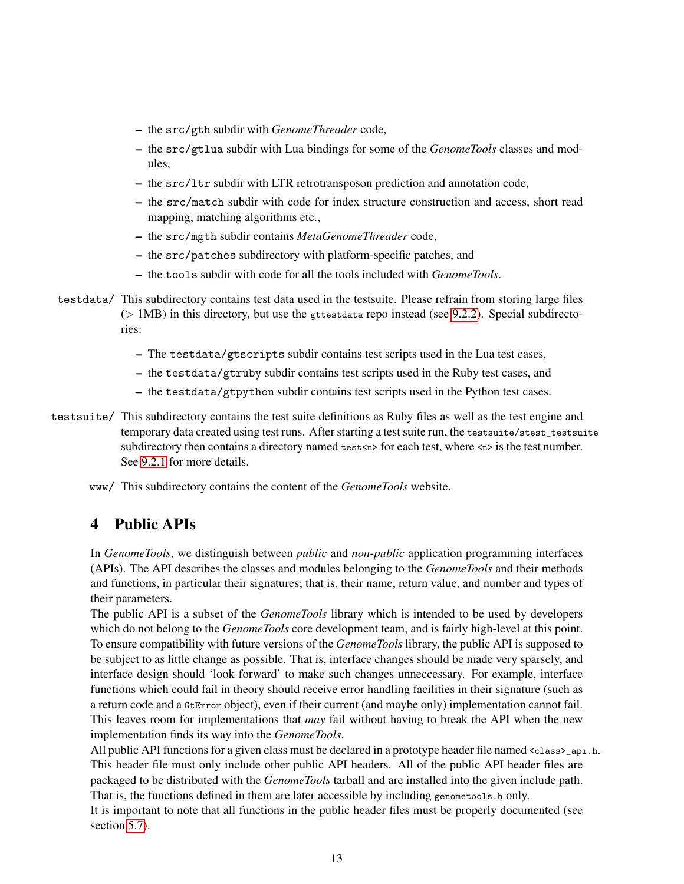- the src/gth subdir with *GenomeThreader* code,
- the src/gtlua subdir with Lua bindings for some of the *GenomeTools* classes and modules,
- the src/ltr subdir with LTR retrotransposon prediction and annotation code,
- the src/match subdir with code for index structure construction and access, short read mapping, matching algorithms etc.,
- the src/mgth subdir contains *MetaGenomeThreader* code,
- the src/patches subdirectory with platform-specific patches, and
- the tools subdir with code for all the tools included with *GenomeTools*.
- testdata/ This subdirectory contains test data used in the testsuite. Please refrain from storing large files  $($  1MB) in this directory, but use the gttestdata repo instead (see [9.2.2\)](#page-24-0). Special subdirectories:
	- The testdata/gtscripts subdir contains test scripts used in the Lua test cases,
	- the testdata/gtruby subdir contains test scripts used in the Ruby test cases, and
	- the testdata/gtpython subdir contains test scripts used in the Python test cases.
- testsuite/ This subdirectory contains the test suite definitions as Ruby files as well as the test engine and temporary data created using test runs. After starting a test suite run, the testsuite/stest\_testsuite subdirectory then contains a directory named test  $\cos$  for each test, where  $\cos$  is the test number. See [9.2.1](#page-23-0) for more details.
	- www/ This subdirectory contains the content of the *GenomeTools* website.

# <span id="page-12-0"></span>4 Public APIs

In *GenomeTools*, we distinguish between *public* and *non-public* application programming interfaces (APIs). The API describes the classes and modules belonging to the *GenomeTools* and their methods and functions, in particular their signatures; that is, their name, return value, and number and types of their parameters.

The public API is a subset of the *GenomeTools* library which is intended to be used by developers which do not belong to the *GenomeTools* core development team, and is fairly high-level at this point. To ensure compatibility with future versions of the *GenomeTools* library, the public API is supposed to be subject to as little change as possible. That is, interface changes should be made very sparsely, and interface design should 'look forward' to make such changes unneccessary. For example, interface functions which could fail in theory should receive error handling facilities in their signature (such as a return code and a GtError object), even if their current (and maybe only) implementation cannot fail. This leaves room for implementations that *may* fail without having to break the API when the new implementation finds its way into the *GenomeTools*.

All public API functions for a given class must be declared in a prototype header file named <class>\_api.h. This header file must only include other public API headers. All of the public API header files are packaged to be distributed with the *GenomeTools* tarball and are installed into the given include path. That is, the functions defined in them are later accessible by including genometools.h only.

It is important to note that all functions in the public header files must be properly documented (see section [5.7\)](#page-16-0).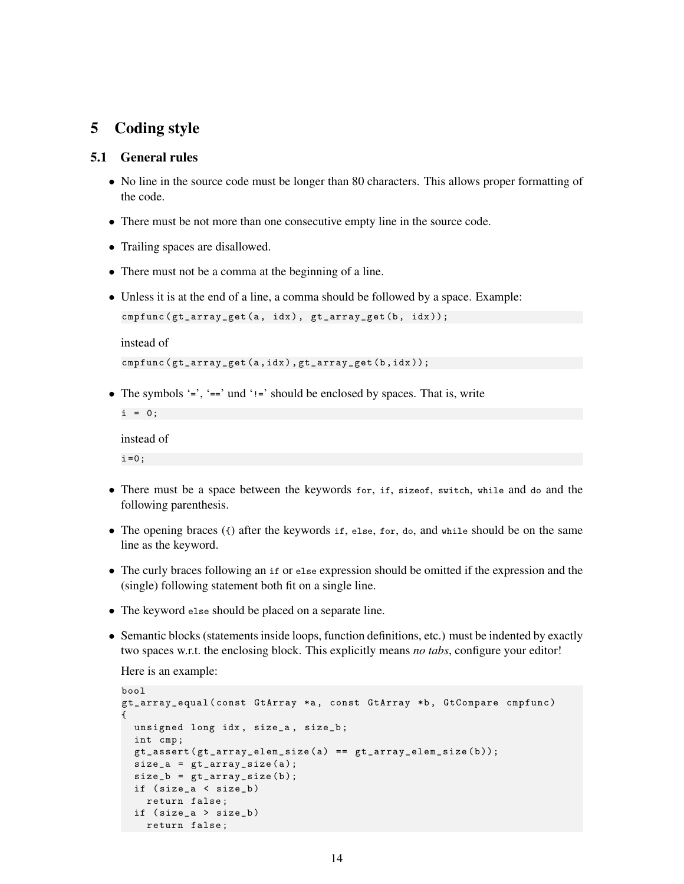# <span id="page-13-0"></span>5 Coding style

## 5.1 General rules

- No line in the source code must be longer than 80 characters. This allows proper formatting of the code.
- There must be not more than one consecutive empty line in the source code.
- Trailing spaces are disallowed.
- There must not be a comma at the beginning of a line.
- Unless it is at the end of a line, a comma should be followed by a space. Example:

```
cmpfunc (gt_array_get (a, idx), gt_array_get (b, idx));
```
instead of

```
cmpfunc ( gt_array_get (a , idx ) , gt_array_get (b , idx ));
```
• The symbols  $\epsilon$  =  $\epsilon$ ,  $\epsilon$  =  $\epsilon$  und  $\epsilon$ ! =  $\epsilon$  should be enclosed by spaces. That is, write

```
i = 0;instead of
```
- $i = 0;$
- There must be a space between the keywords for, if, sizeof, switch, while and do and the following parenthesis.
- The opening braces  $(\cdot)$  after the keywords if, else, for, do, and while should be on the same line as the keyword.
- The curly braces following an if or else expression should be omitted if the expression and the (single) following statement both fit on a single line.
- The keyword else should be placed on a separate line.
- Semantic blocks (statements inside loops, function definitions, etc.) must be indented by exactly two spaces w.r.t. the enclosing block. This explicitly means *no tabs*, configure your editor!

Here is an example:

```
bool
gt_array_equal ( const GtArray *a , const GtArray *b , GtCompare cmpfunc )
{
  unsigned long idx , size_a , size_b ;
  int cmp ;
  gt\_assert (gt\_array\_elem\_size(a) == gt\_array\_elem\_size(b));size_a = gt_array_size(a);size_b = gt_array_size(b);if ( size_a < size_b )
    return false ;
  if ( size_a > size_b )
    return false ;
```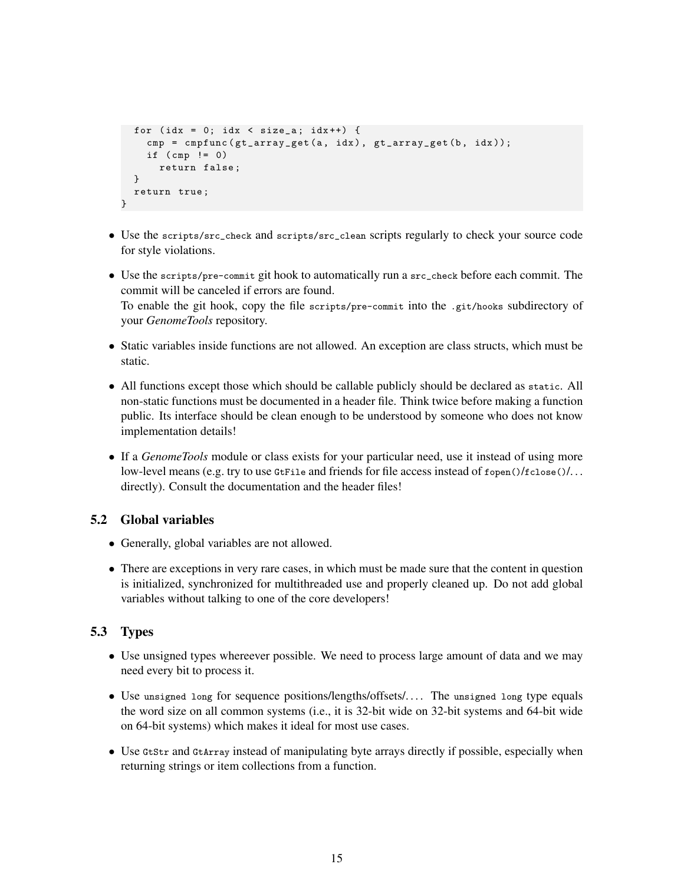```
for (idx = 0; idx < size_a; idx++) {
    cmp = cmpfunc(gt_array_set(a, idx), gt_array_set(b, idx));if (\text{cmp} != 0)return false ;
  }
  return true ;
}
```
- Use the scripts/src\_check and scripts/src\_clean scripts regularly to check your source code for style violations.
- Use the scripts/pre-commit git hook to automatically run a src\_check before each commit. The commit will be canceled if errors are found. To enable the git hook, copy the file scripts/pre-commit into the .git/hooks subdirectory of your *GenomeTools* repository.
- Static variables inside functions are not allowed. An exception are class structs, which must be static.
- All functions except those which should be callable publicly should be declared as static. All non-static functions must be documented in a header file. Think twice before making a function public. Its interface should be clean enough to be understood by someone who does not know implementation details!
- If a *GenomeTools* module or class exists for your particular need, use it instead of using more low-level means (e.g. try to use GtFile and friends for file access instead of fopen()/fclose()/... directly). Consult the documentation and the header files!

## 5.2 Global variables

- Generally, global variables are not allowed.
- There are exceptions in very rare cases, in which must be made sure that the content in question is initialized, synchronized for multithreaded use and properly cleaned up. Do not add global variables without talking to one of the core developers!

## 5.3 Types

- Use unsigned types whereever possible. We need to process large amount of data and we may need every bit to process it.
- Use unsigned long for sequence positions/lengths/offsets/.... The unsigned long type equals the word size on all common systems (i.e., it is 32-bit wide on 32-bit systems and 64-bit wide on 64-bit systems) which makes it ideal for most use cases.
- Use Gtstr and GtArray instead of manipulating byte arrays directly if possible, especially when returning strings or item collections from a function.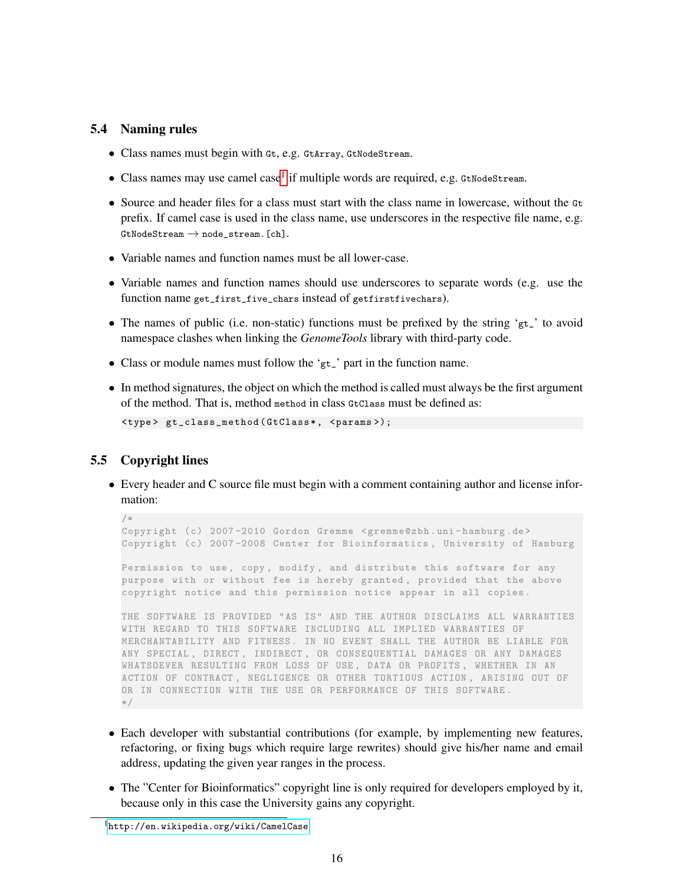#### 5.4 Naming rules

- Class names must begin with Gt, e.g. GtArray, GtNodeStream.
- $\bullet$  Class names may use camel case<sup>[1](#page-15-0)</sup> if multiple words are required, e.g. GtNodeStream.
- Source and header files for a class must start with the class name in lowercase, without the Gt prefix. If camel case is used in the class name, use underscores in the respective file name, e.g.  $GtNodeStream \rightarrow nodestream$ . [ch].
- Variable names and function names must be all lower-case.
- Variable names and function names should use underscores to separate words (e.g. use the function name get\_first\_five\_chars instead of getfirstfivechars).
- The names of public (i.e. non-static) functions must be prefixed by the string 'gt\_' to avoid namespace clashes when linking the *GenomeTools* library with third-party code.
- Class or module names must follow the 'gt\_' part in the function name.
- In method signatures, the object on which the method is called must always be the first argument of the method. That is, method method in class GtClass must be defined as:

```
< type > gt_class_method ( GtClass * , < params >);
```
## <span id="page-15-1"></span>5.5 Copyright lines

• Every header and C source file must begin with a comment containing author and license information:

```
/*
Copyright (c) 2007 -2010 Gordon Gremme <gremme@zbh .uni - hamburg .de >
Copyright (c) 2007 -2008 Center for Bioinformatics , University of Hamburg
```
Permission to use, copy, modify, and distribute this software for any purpose with or without fee is hereby granted, provided that the above copyright notice and this permission notice appear in all copies .

THE SOFTWARE IS PROVIDED "AS IS" AND THE AUTHOR DISCLAIMS ALL WARRANTIES WITH REGARD TO THIS SOFTWARE INCLUDING ALL IMPLIED WARRANTIES OF MERCHANTABILITY AND FITNESS . IN NO EVENT SHALL THE AUTHOR BE LIABLE FOR ANY SPECIAL , DIRECT , INDIRECT , OR CONSEQUENTIAL DAMAGES OR ANY DAMAGES WHATSOEVER RESULTING FROM LOSS OF USE , DATA OR PROFITS , WHETHER IN AN ACTION OF CONTRACT , NEGLIGENCE OR OTHER TORTIOUS ACTION , ARISING OUT OF OR IN CONNECTION WITH THE USE OR PERFORMANCE OF THIS SOFTWARE . \*/

- Each developer with substantial contributions (for example, by implementing new features, refactoring, or fixing bugs which require large rewrites) should give his/her name and email address, updating the given year ranges in the process.
- The "Center for Bioinformatics" copyright line is only required for developers employed by it, because only in this case the University gains any copyright.

<span id="page-15-0"></span> $^{\rm l}$ <http://en.wikipedia.org/wiki/CamelCase>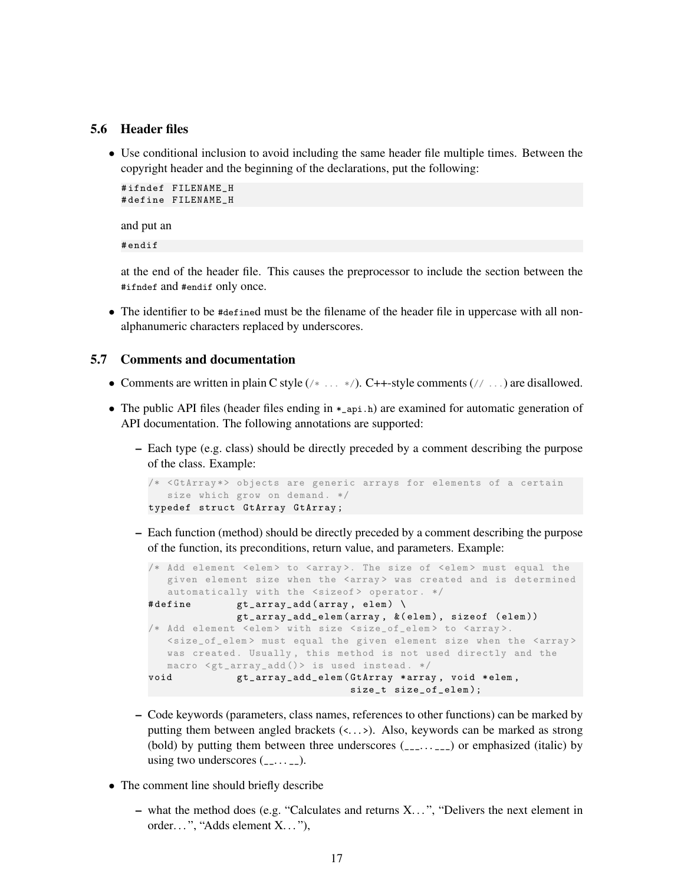#### 5.6 Header files

• Use conditional inclusion to avoid including the same header file multiple times. Between the copyright header and the beginning of the declarations, put the following:

```
# ifndef FILENAME_H
# define FILENAME_H
```
and put an

# endif

at the end of the header file. This causes the preprocessor to include the section between the #ifndef and #endif only once.

• The identifier to be #defined must be the filename of the header file in uppercase with all nonalphanumeric characters replaced by underscores.

#### <span id="page-16-0"></span>5.7 Comments and documentation

- Comments are written in plain C style  $(\nmid \ldots \nmid \cdot)$ . C++-style comments  $(\nmid \cdot \ldots)$  are disallowed.
- The public API files (header files ending in  $*_{api}$ ) are examined for automatic generation of API documentation. The following annotations are supported:
	- Each type (e.g. class) should be directly preceded by a comment describing the purpose of the class. Example:

```
/* <GtArray*> objects are generic arrays for elements of a certain
  size which grow on demand. */
typedef struct GtArray GtArray ;
```
– Each function (method) should be directly preceded by a comment describing the purpose of the function, its preconditions, return value, and parameters. Example:

```
/* Add element <elem> to <array>. The size of <elem> must equal the
  given element size when the <array> was created and is determined
  automatically with the <sizeof> operator. */
#define gt_{array\_add}(array, elem)gt_array_add_elem ( array , &( elem ) , sizeof ( elem ))
/* Add element <elem> with size <size_of_elem> to <array>.
  <size_of_elem > must equal the given element size when the <array >
  was created. Usually, this method is not used directly and the
  macro \leqgt_array_add()> is used instead. */
void gt_array_add_elem ( GtArray * array , void * elem ,
                                size_t size_of_elem );
```
- Code keywords (parameters, class names, references to other functions) can be marked by putting them between angled brackets (<...>). Also, keywords can be marked as strong (bold) by putting them between three underscores  $(\_ \_ \ldots \_ )$  or emphasized (italic) by using two underscores  $(\_ \ldots \_ \_ )$ .
- The comment line should briefly describe
	- what the method does (e.g. "Calculates and returns X. . . ", "Delivers the next element in order...", "Adds element X..."),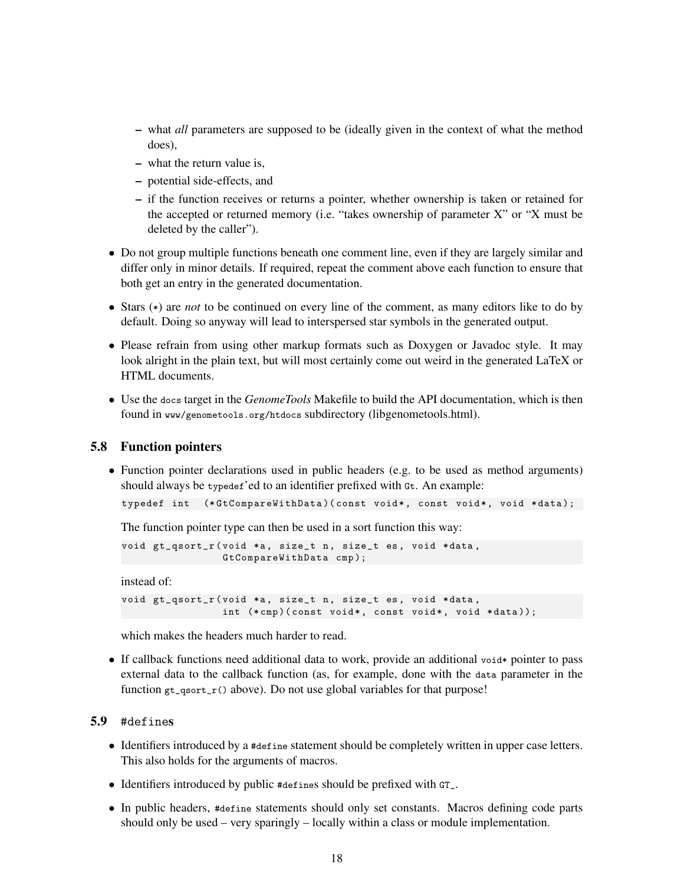- what *all* parameters are supposed to be (ideally given in the context of what the method does),
- what the return value is,
- potential side-effects, and
- if the function receives or returns a pointer, whether ownership is taken or retained for the accepted or returned memory (i.e. "takes ownership of parameter X" or "X must be deleted by the caller").
- Do not group multiple functions beneath one comment line, even if they are largely similar and differ only in minor details. If required, repeat the comment above each function to ensure that both get an entry in the generated documentation.
- Stars (\*) are *not* to be continued on every line of the comment, as many editors like to do by default. Doing so anyway will lead to interspersed star symbols in the generated output.
- Please refrain from using other markup formats such as Doxygen or Javadoc style. It may look alright in the plain text, but will most certainly come out weird in the generated LaTeX or HTML documents.
- Use the docs target in the *GenomeTools* Makefile to build the API documentation, which is then found in www/genometools.org/htdocs subdirectory (libgenometools.html).

#### 5.8 Function pointers

• Function pointer declarations used in public headers (e.g. to be used as method arguments) should always be typedef'ed to an identifier prefixed with Gt. An example:

```
typedef int (*GtCompareWithData)(const void*, const void*, void *data);
```
The function pointer type can then be used in a sort function this way:

```
void gt_qsort_r ( void *a, size_t n, size_t es, void * data,
                GtCompareWithData cmp );
```
instead of:

```
void gt_qsort_r ( void *a, size_t n, size_t es, void * data,
                 int (*\text{cmp}) (const void*, const void*, void *data));
```
which makes the headers much harder to read.

• If callback functions need additional data to work, provide an additional void \* pointer to pass external data to the callback function (as, for example, done with the data parameter in the function  $gt_{\text{qsort}_r}()$  above). Do not use global variables for that purpose!

### 5.9 #defines

- Identifiers introduced by a #define statement should be completely written in upper case letters. This also holds for the arguments of macros.
- Identifiers introduced by public #defines should be prefixed with GT\_.
- In public headers, #define statements should only set constants. Macros defining code parts should only be used – very sparingly – locally within a class or module implementation.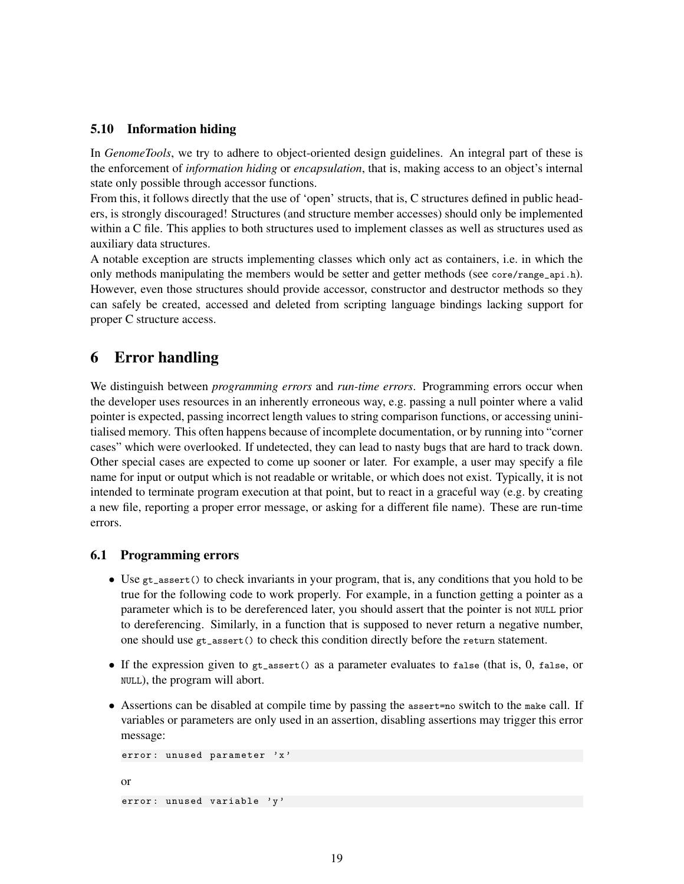### 5.10 Information hiding

In *GenomeTools*, we try to adhere to object-oriented design guidelines. An integral part of these is the enforcement of *information hiding* or *encapsulation*, that is, making access to an object's internal state only possible through accessor functions.

From this, it follows directly that the use of 'open' structs, that is, C structures defined in public headers, is strongly discouraged! Structures (and structure member accesses) should only be implemented within a C file. This applies to both structures used to implement classes as well as structures used as auxiliary data structures.

A notable exception are structs implementing classes which only act as containers, i.e. in which the only methods manipulating the members would be setter and getter methods (see core/range\_api.h). However, even those structures should provide accessor, constructor and destructor methods so they can safely be created, accessed and deleted from scripting language bindings lacking support for proper C structure access.

# <span id="page-18-0"></span>6 Error handling

We distinguish between *programming errors* and *run-time errors*. Programming errors occur when the developer uses resources in an inherently erroneous way, e.g. passing a null pointer where a valid pointer is expected, passing incorrect length values to string comparison functions, or accessing uninitialised memory. This often happens because of incomplete documentation, or by running into "corner cases" which were overlooked. If undetected, they can lead to nasty bugs that are hard to track down. Other special cases are expected to come up sooner or later. For example, a user may specify a file name for input or output which is not readable or writable, or which does not exist. Typically, it is not intended to terminate program execution at that point, but to react in a graceful way (e.g. by creating a new file, reporting a proper error message, or asking for a different file name). These are run-time errors.

#### 6.1 Programming errors

- Use gt\_assert() to check invariants in your program, that is, any conditions that you hold to be true for the following code to work properly. For example, in a function getting a pointer as a parameter which is to be dereferenced later, you should assert that the pointer is not NULL prior to dereferencing. Similarly, in a function that is supposed to never return a negative number, one should use gt\_assert() to check this condition directly before the return statement.
- If the expression given to  $gt$ -assert() as a parameter evaluates to false (that is, 0, false, or NULL), the program will abort.
- Assertions can be disabled at compile time by passing the assert=no switch to the make call. If variables or parameters are only used in an assertion, disabling assertions may trigger this error message:

```
error: unused parameter 'x'
or
error: unused variable 'y'
```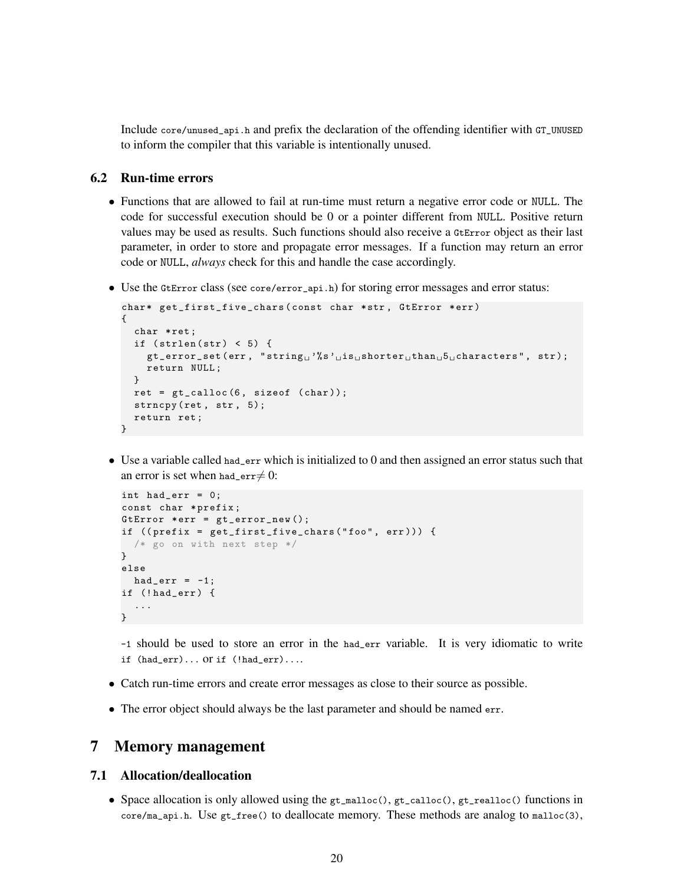Include core/unused\_api.h and prefix the declaration of the offending identifier with GT\_UNUSED to inform the compiler that this variable is intentionally unused.

### <span id="page-19-1"></span>6.2 Run-time errors

- Functions that are allowed to fail at run-time must return a negative error code or NULL. The code for successful execution should be 0 or a pointer different from NULL. Positive return values may be used as results. Such functions should also receive a GtError object as their last parameter, in order to store and propagate error messages. If a function may return an error code or NULL, *always* check for this and handle the case accordingly.
- Use the GtError class (see core/error\_api.h) for storing error messages and error status:

```
char* get_first_five_chars(const char *str, GtError *err)
{
  char * ret;
  if (strlen(str) < 5) {
    gt\_error\_set( err, "string<sub>u</sub>''s'uis<sub>u</sub>shorter<sub>u</sub>than<sub>u</sub>5<sub>u</sub>characters", str);return NULL ;
  }
  ret = gt_calloc (6 , sizeof ( char ));
  strncpy (ret, str, 5);
  return ret ;
}
```
• Use a variable called had\_err which is initialized to 0 and then assigned an error status such that an error is set when had\_err $\neq 0$ :

```
int had_err = 0;
const char * prefix;
GtError *err = gt_error_new();
if ((prefix = get_first_five_chars("foo", err))) {
 /* go on with next step */
}
else
 had_err = -1;
if (! had_err ) {
  ...
}
```
-1 should be used to store an error in the had\_err variable. It is very idiomatic to write if (had\_err)... or if (!had\_err)....

- Catch run-time errors and create error messages as close to their source as possible.
- The error object should always be the last parameter and should be named err.

## <span id="page-19-0"></span>7 Memory management

## 7.1 Allocation/deallocation

• Space allocation is only allowed using the  $gt\_m$ alloc(),  $gt\_calloc($ ),  $gt\_realloc($ ) functions in core/ma\_api.h. Use gt\_free() to deallocate memory. These methods are analog to malloc(3),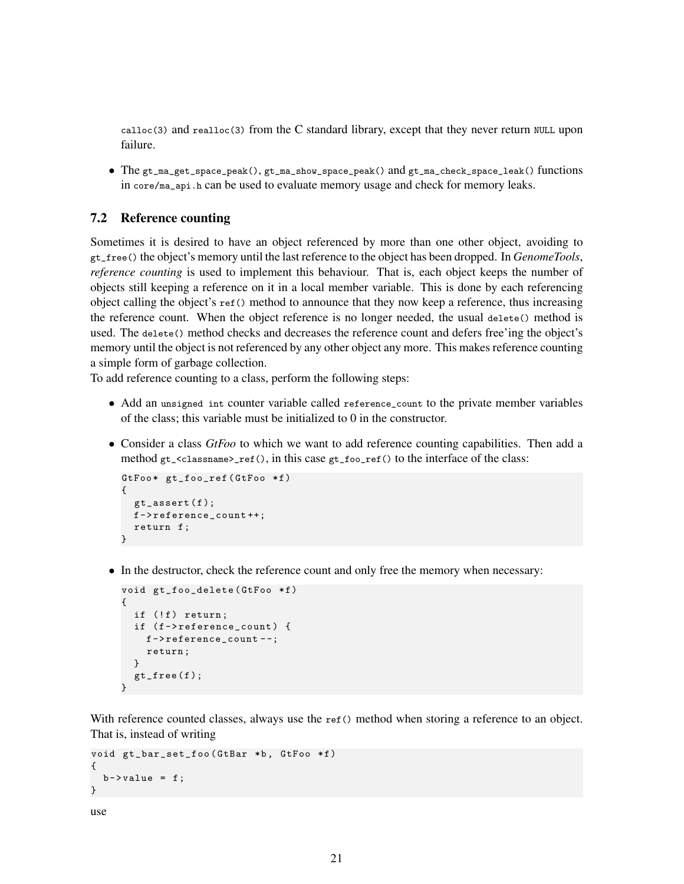calloc(3) and realloc(3) from the C standard library, except that they never return NULL upon failure.

• The gt\_ma\_get\_space\_peak(), gt\_ma\_show\_space\_peak() and gt\_ma\_check\_space\_leak() functions in core/ma\_api.h can be used to evaluate memory usage and check for memory leaks.

## 7.2 Reference counting

Sometimes it is desired to have an object referenced by more than one other object, avoiding to gt\_free() the object's memory until the last reference to the object has been dropped. In *GenomeTools*, *reference counting* is used to implement this behaviour. That is, each object keeps the number of objects still keeping a reference on it in a local member variable. This is done by each referencing object calling the object's  $ref()$  method to announce that they now keep a reference, thus increasing the reference count. When the object reference is no longer needed, the usual delete() method is used. The delete() method checks and decreases the reference count and defers free'ing the object's memory until the object is not referenced by any other object any more. This makes reference counting a simple form of garbage collection.

To add reference counting to a class, perform the following steps:

- Add an unsigned int counter variable called reference\_count to the private member variables of the class; this variable must be initialized to 0 in the constructor.
- Consider a class *GtFoo* to which we want to add reference counting capabilities. Then add a method gt\_<classname>\_ref(), in this case gt\_foo\_ref() to the interface of the class:

```
GtFoo* gt_foo_ref (GtFoo *f)
{
 gt\_assert(f);
 f - > reference_count ++;
 return f ;
}
```
• In the destructor, check the reference count and only free the memory when necessary:

```
void gt_foo_delete (GtFoo *f)
{
 if (!f) return;
 if (f->reference_count) {
   f - > reference_count - -;
    return ;
  \mathbf{r}gt\_free(f);}
```
With reference counted classes, always use the ref() method when storing a reference to an object. That is, instead of writing

```
void gt_bar_set_foo ( GtBar *b, GtFoo *f)
{
  b - \nualue = f;
}
```

```
use
```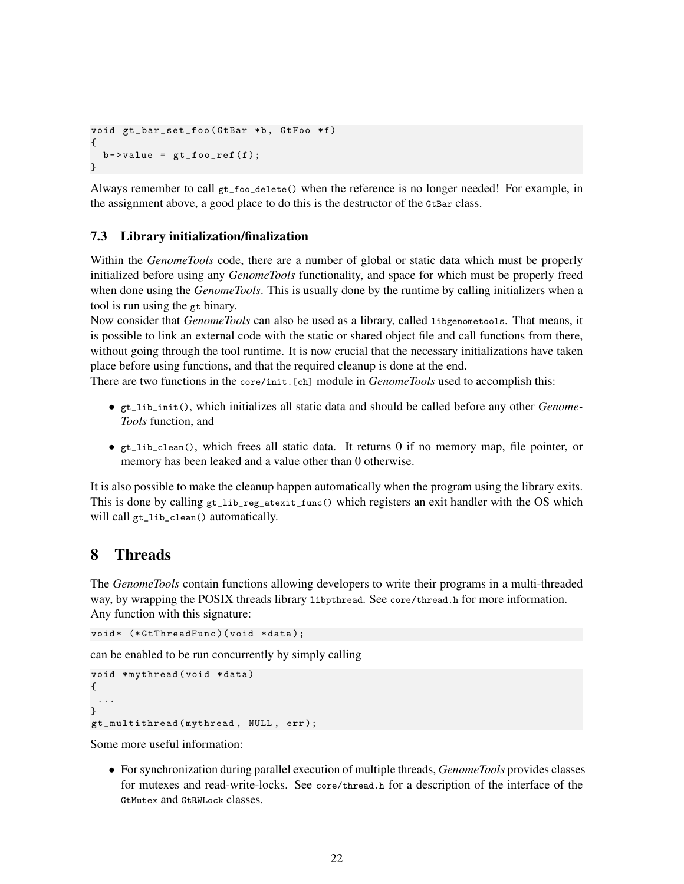```
void gt_bar_set_foo (GtBar *b, GtFoo *f)
{
 b->value = gt_ffoo_ref(f);
}
```
Always remember to call  $gt\_foo\_delete()$  when the reference is no longer needed! For example, in the assignment above, a good place to do this is the destructor of the GtBar class.

### 7.3 Library initialization/finalization

Within the *GenomeTools* code, there are a number of global or static data which must be properly initialized before using any *GenomeTools* functionality, and space for which must be properly freed when done using the *GenomeTools*. This is usually done by the runtime by calling initializers when a tool is run using the gt binary.

Now consider that *GenomeTools* can also be used as a library, called libgenometools. That means, it is possible to link an external code with the static or shared object file and call functions from there, without going through the tool runtime. It is now crucial that the necessary initializations have taken place before using functions, and that the required cleanup is done at the end.

There are two functions in the core/init.[ch] module in *GenomeTools* used to accomplish this:

- gt\_lib\_init(), which initializes all static data and should be called before any other *Genome-Tools* function, and
- gt\_lib\_clean(), which frees all static data. It returns 0 if no memory map, file pointer, or memory has been leaked and a value other than 0 otherwise.

It is also possible to make the cleanup happen automatically when the program using the library exits. This is done by calling  $gt\_lib\_reg\_atexit\_func()$  which registers an exit handler with the OS which will call gt\_lib\_clean() automatically.

## <span id="page-21-0"></span>8 Threads

The *GenomeTools* contain functions allowing developers to write their programs in a multi-threaded way, by wrapping the POSIX threads library 1ibpthread. See core/thread.h for more information. Any function with this signature:

void\* (\*GtThreadFunc)(void \*data);

can be enabled to be run concurrently by simply calling

```
void *mythread (void *data)
{
 ...
}
gt_multithread ( mythread , NULL , err );
```
Some more useful information:

• For synchronization during parallel execution of multiple threads, *GenomeTools* provides classes for mutexes and read-write-locks. See core/thread.h for a description of the interface of the GtMutex and GtRWLock classes.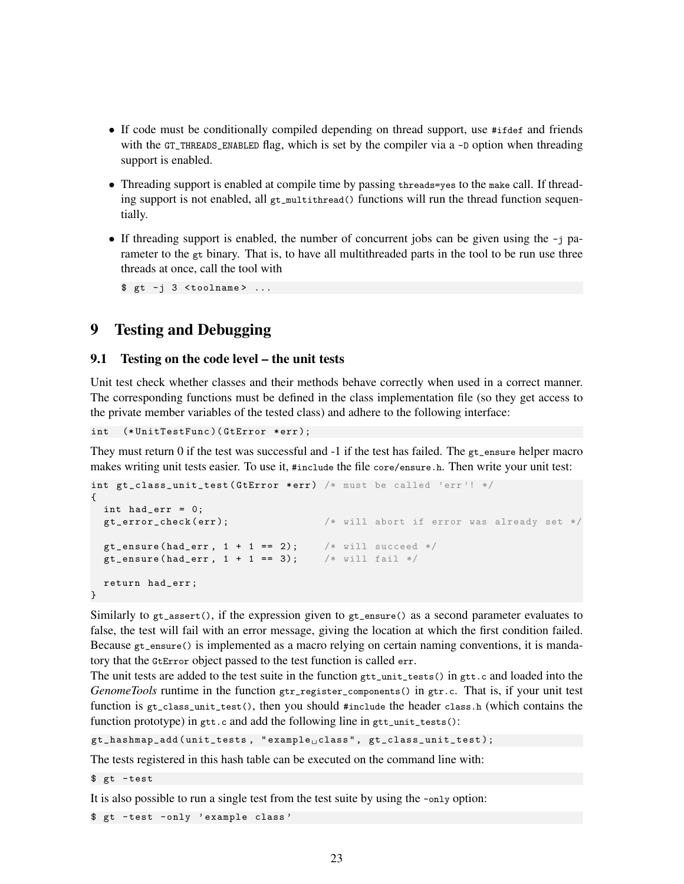- If code must be conditionally compiled depending on thread support, use #ifdef and friends with the GT\_THREADS\_ENABLED flag, which is set by the compiler via a -D option when threading support is enabled.
- Threading support is enabled at compile time by passing threads=yes to the make call. If threading support is not enabled, all  $gt$ <sub>multithread</sub>() functions will run the thread function sequentially.
- If threading support is enabled, the number of concurrent jobs can be given using the -j parameter to the  $gt$  binary. That is, to have all multithreaded parts in the tool to be run use three threads at once, call the tool with

 $$gt -j 3 <$ toolname> ...

# <span id="page-22-0"></span>9 Testing and Debugging

## <span id="page-22-1"></span>9.1 Testing on the code level – the unit tests

Unit test check whether classes and their methods behave correctly when used in a correct manner. The corresponding functions must be defined in the class implementation file (so they get access to the private member variables of the tested class) and adhere to the following interface:

int (\* UnitTestFunc )( GtError \* err );

They must return 0 if the test was successful and -1 if the test has failed. The gt\_ensure helper macro makes writing unit tests easier. To use it, #include the file core/ensure.h. Then write your unit test:

```
int gt_class_unit_test (GtError *err) /* must be called 'err'! */
{
  int had_err = 0;
  gt_error_check ( err ); /* will abort if error was already set */
  gt_ensure(had_err, 1 + 1 == 2); /* will succeed */<br>gt_ensure(had_err, 1 + 1 == 3); /* will fail */
  gt_{\text{ensure}} (had_err, 1 + 1 == 3);
  return had_err ;
}
```
Similarly to  $gt$ <sub>rassert</sub>(), if the expression given to  $gt$ <sub>rensure</sub>() as a second parameter evaluates to false, the test will fail with an error message, giving the location at which the first condition failed. Because gt\_ensure() is implemented as a macro relying on certain naming conventions, it is mandatory that the GtError object passed to the test function is called err.

The unit tests are added to the test suite in the function  $gtt$ <sub>unit\_tests</sub>() in  $gtt$ <sub>c</sub> and loaded into the *GenomeTools* runtime in the function gtr\_register\_components() in gtr.c. That is, if your unit test function is gt\_class\_unit\_test(), then you should #include the header class.h (which contains the function prototype) in  $gtt.c$  and add the following line in  $gtt\_unit\_tests()$ :

gt\_hashmap\_add (unit\_tests, " example class", gt\_class\_unit\_test);

The tests registered in this hash table can be executed on the command line with:

\$ gt - test

It is also possible to run a single test from the test suite by using the -only option:

\$ gt - test - only ' example class '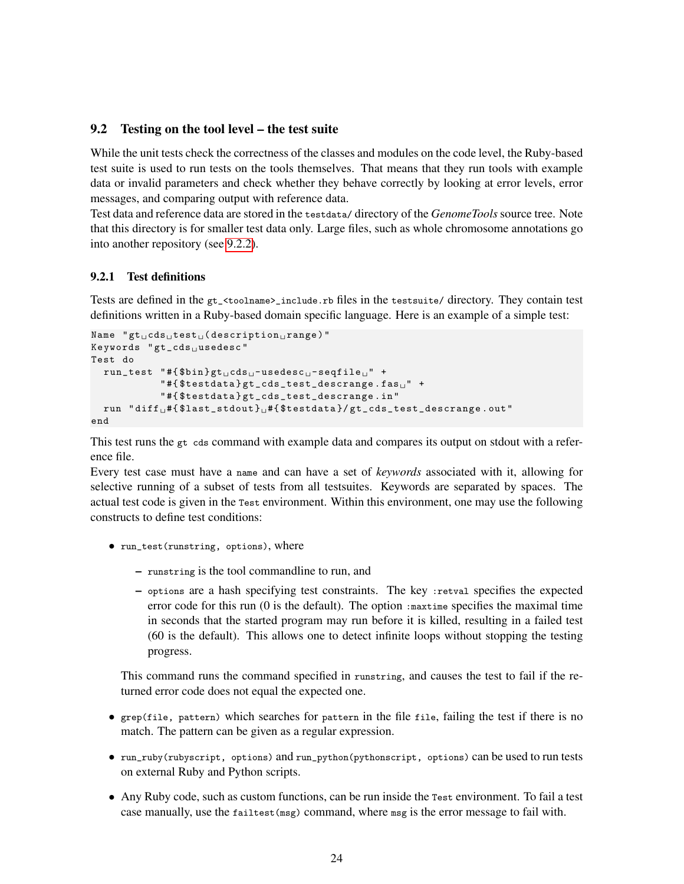#### 9.2 Testing on the tool level – the test suite

While the unit tests check the correctness of the classes and modules on the code level, the Ruby-based test suite is used to run tests on the tools themselves. That means that they run tools with example data or invalid parameters and check whether they behave correctly by looking at error levels, error messages, and comparing output with reference data.

Test data and reference data are stored in the testdata/ directory of the *GenomeTools* source tree. Note that this directory is for smaller test data only. Large files, such as whole chromosome annotations go into another repository (see [9.2.2\)](#page-24-0).

#### <span id="page-23-0"></span>9.2.1 Test definitions

Tests are defined in the gt\_<toolname>\_include.rb files in the testsuite/ directory. They contain test definitions written in a Ruby-based domain specific language. Here is an example of a simple test:

```
Name "gt<sub>u</sub>cds<sub>u</sub>test<sub>u</sub>(description<sub>u</sub>range)"
Keywords "gt_cds<sub>u</sub>usedesc"
Test do
  run\_test "#{$bin}gtucds<sub>u</sub>-usedesc<sub>u</sub>-seqfile<sub>u</sub>" +
                "#{$testdata}gt_cds_test_descrange.fas" +
                " #{ $testdata } gt_cds_test_descrange . in "
  run "diff<sub>u</sub>#{$last_stdout}<sub>u</sub>#{$testdata}/gt_cds_test_descrange.out"
end
```
This test runs the gt cds command with example data and compares its output on stdout with a reference file.

Every test case must have a name and can have a set of *keywords* associated with it, allowing for selective running of a subset of tests from all testsuites. Keywords are separated by spaces. The actual test code is given in the Test environment. Within this environment, one may use the following constructs to define test conditions:

- run\_test(runstring, options), where
	- runstring is the tool commandline to run, and
	- options are a hash specifying test constraints. The key :retval specifies the expected error code for this run  $(0$  is the default). The option : $maxtime$  specifies the maximal time in seconds that the started program may run before it is killed, resulting in a failed test (60 is the default). This allows one to detect infinite loops without stopping the testing progress.

This command runs the command specified in runstring, and causes the test to fail if the returned error code does not equal the expected one.

- grep(file, pattern) which searches for pattern in the file file, failing the test if there is no match. The pattern can be given as a regular expression.
- run\_ruby(rubyscript, options) and run\_python(pythonscript, options) can be used to run tests on external Ruby and Python scripts.
- Any Ruby code, such as custom functions, can be run inside the Test environment. To fail a test case manually, use the failtest(msg) command, where msg is the error message to fail with.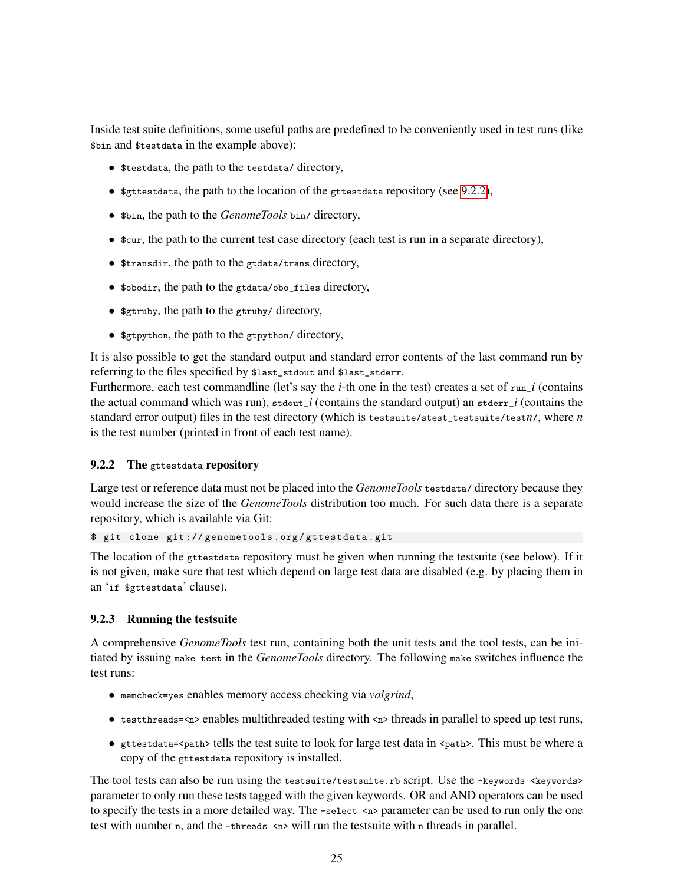Inside test suite definitions, some useful paths are predefined to be conveniently used in test runs (like \$bin and \$testdata in the example above):

- \$testdata, the path to the testdata/ directory,
- \$gttestdata, the path to the location of the gttestdata repository (see [9.2.2\)](#page-24-0),
- \$bin, the path to the *GenomeTools* bin/ directory,
- \$cur, the path to the current test case directory (each test is run in a separate directory),
- \$transdir, the path to the gtdata/trans directory,
- \$obodir, the path to the gtdata/obo\_files directory,
- \$gtruby, the path to the gtruby/ directory,
- \$gtpython, the path to the gtpython/ directory,

It is also possible to get the standard output and standard error contents of the last command run by referring to the files specified by \$last\_stdout and \$last\_stderr.

Furthermore, each test commandline (let's say the *i*-th one in the test) creates a set of run\_*i* (contains the actual command which was run), stdout\_*i* (contains the standard output) an stderr\_*i* (contains the standard error output) files in the test directory (which is testsuite/stest\_testsuite/test*n*/, where *n* is the test number (printed in front of each test name).

#### <span id="page-24-0"></span>9.2.2 The gttestdata repository

Large test or reference data must not be placed into the *GenomeTools* testdata/ directory because they would increase the size of the *GenomeTools* distribution too much. For such data there is a separate repository, which is available via Git:

\$ git clone git :// genometools . org / gttestdata . git

The location of the gttestdata repository must be given when running the testsuite (see below). If it is not given, make sure that test which depend on large test data are disabled (e.g. by placing them in an 'if \$gttestdata' clause).

#### 9.2.3 Running the testsuite

A comprehensive *GenomeTools* test run, containing both the unit tests and the tool tests, can be initiated by issuing make test in the *GenomeTools* directory. The following make switches influence the test runs:

- memcheck=yes enables memory access checking via *valgrind*,
- testthreads=<n> enables multithreaded testing with <n> threads in parallel to speed up test runs,
- gttestdata=<path> tells the test suite to look for large test data in <path>. This must be where a copy of the gttestdata repository is installed.

The tool tests can also be run using the testsuite/testsuite.rb script. Use the -keywords <keywords> parameter to only run these tests tagged with the given keywords. OR and AND operators can be used to specify the tests in a more detailed way. The -select  $\langle n \rangle$  parameter can be used to run only the one test with number n, and the -threads  $\langle n \rangle$  will run the test suite with n threads in parallel.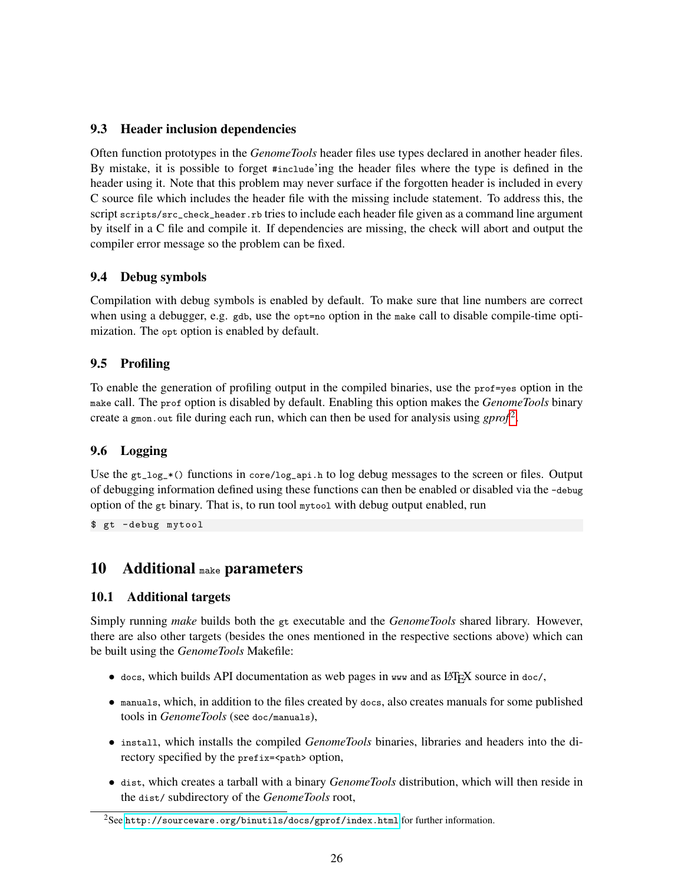## 9.3 Header inclusion dependencies

Often function prototypes in the *GenomeTools* header files use types declared in another header files. By mistake, it is possible to forget #include'ing the header files where the type is defined in the header using it. Note that this problem may never surface if the forgotten header is included in every C source file which includes the header file with the missing include statement. To address this, the script scripts/src\_check\_header.rb tries to include each header file given as a command line argument by itself in a C file and compile it. If dependencies are missing, the check will abort and output the compiler error message so the problem can be fixed.

## 9.4 Debug symbols

Compilation with debug symbols is enabled by default. To make sure that line numbers are correct when using a debugger, e.g. gdb, use the opt=no option in the make call to disable compile-time optimization. The opt option is enabled by default.

## 9.5 Profiling

To enable the generation of profiling output in the compiled binaries, use the prof=yes option in the make call. The prof option is disabled by default. Enabling this option makes the *GenomeTools* binary create a gmon.out file during each run, which can then be used for analysis using *gprof*<sup>[2](#page-25-1)</sup>.

## 9.6 Logging

Use the  $gt\_log_*($  functions in core/log\_api.h to log debug messages to the screen or files. Output of debugging information defined using these functions can then be enabled or disabled via the -debug option of the gt binary. That is, to run tool mytool with debug output enabled, run

\$ gt - debug mytool

# <span id="page-25-0"></span>10 Additional make parameters

## 10.1 Additional targets

Simply running *make* builds both the gt executable and the *GenomeTools* shared library. However, there are also other targets (besides the ones mentioned in the respective sections above) which can be built using the *GenomeTools* Makefile:

- $\bullet$  docs, which builds API documentation as web pages in www and as LATEX source in doc/,
- manuals, which, in addition to the files created by docs, also creates manuals for some published tools in *GenomeTools* (see doc/manuals),
- install, which installs the compiled *GenomeTools* binaries, libraries and headers into the directory specified by the prefix=<path> option,
- dist, which creates a tarball with a binary *GenomeTools* distribution, which will then reside in the dist/ subdirectory of the *GenomeTools* root,

<span id="page-25-1"></span><sup>2</sup>See <http://sourceware.org/binutils/docs/gprof/index.html> for further information.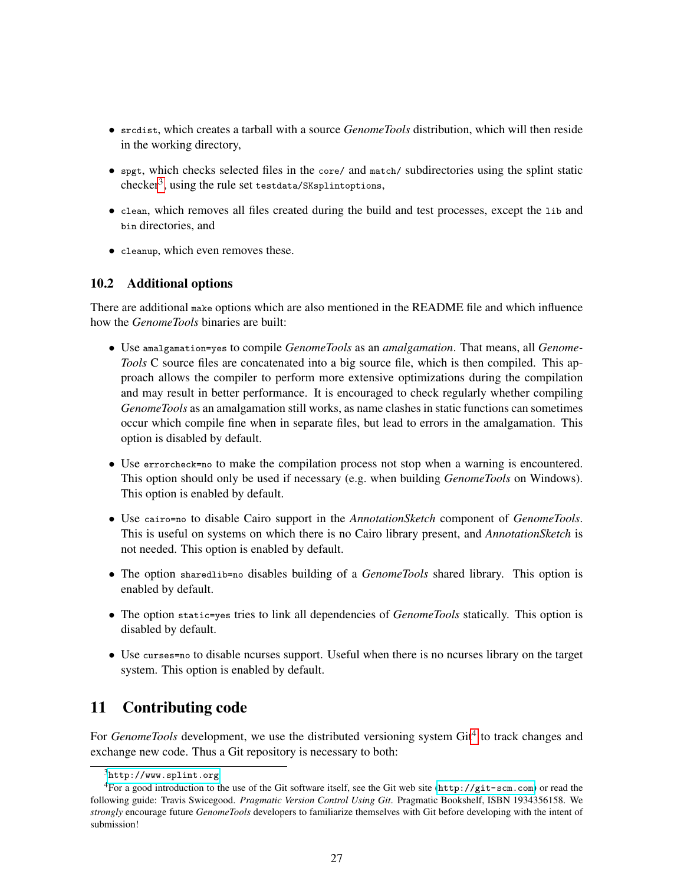- srcdist, which creates a tarball with a source *GenomeTools* distribution, which will then reside in the working directory,
- spgt, which checks selected files in the core/ and match/ subdirectories using the splint static  $checker^3$  $checker^3$ , using the rule set testdata/SKsplintoptions,
- clean, which removes all files created during the build and test processes, except the lib and bin directories, and
- cleanup, which even removes these.

## 10.2 Additional options

There are additional make options which are also mentioned in the README file and which influence how the *GenomeTools* binaries are built:

- Use amalgamation=yes to compile *GenomeTools* as an *amalgamation*. That means, all *Genome-Tools* C source files are concatenated into a big source file, which is then compiled. This approach allows the compiler to perform more extensive optimizations during the compilation and may result in better performance. It is encouraged to check regularly whether compiling *GenomeTools* as an amalgamation still works, as name clashes in static functions can sometimes occur which compile fine when in separate files, but lead to errors in the amalgamation. This option is disabled by default.
- Use errorcheck=no to make the compilation process not stop when a warning is encountered. This option should only be used if necessary (e.g. when building *GenomeTools* on Windows). This option is enabled by default.
- Use cairo=no to disable Cairo support in the *AnnotationSketch* component of *GenomeTools*. This is useful on systems on which there is no Cairo library present, and *AnnotationSketch* is not needed. This option is enabled by default.
- The option sharedlib=no disables building of a *GenomeTools* shared library. This option is enabled by default.
- The option static=yes tries to link all dependencies of *GenomeTools* statically. This option is disabled by default.
- Use curses=no to disable ncurses support. Useful when there is no ncurses library on the target system. This option is enabled by default.

# <span id="page-26-0"></span>11 Contributing code

For *GenomeTools* development, we use the distributed versioning system Git<sup>[4](#page-26-2)</sup> to track changes and exchange new code. Thus a Git repository is necessary to both:

<span id="page-26-2"></span><span id="page-26-1"></span> $3$ <http://www.splint.org>

<sup>&</sup>lt;sup>4</sup>For a good introduction to the use of the Git software itself, see the Git web site (<http://git-scm.com>) or read the following guide: Travis Swicegood. *Pragmatic Version Control Using Git*. Pragmatic Bookshelf, ISBN 1934356158. We *strongly* encourage future *GenomeTools* developers to familiarize themselves with Git before developing with the intent of submission!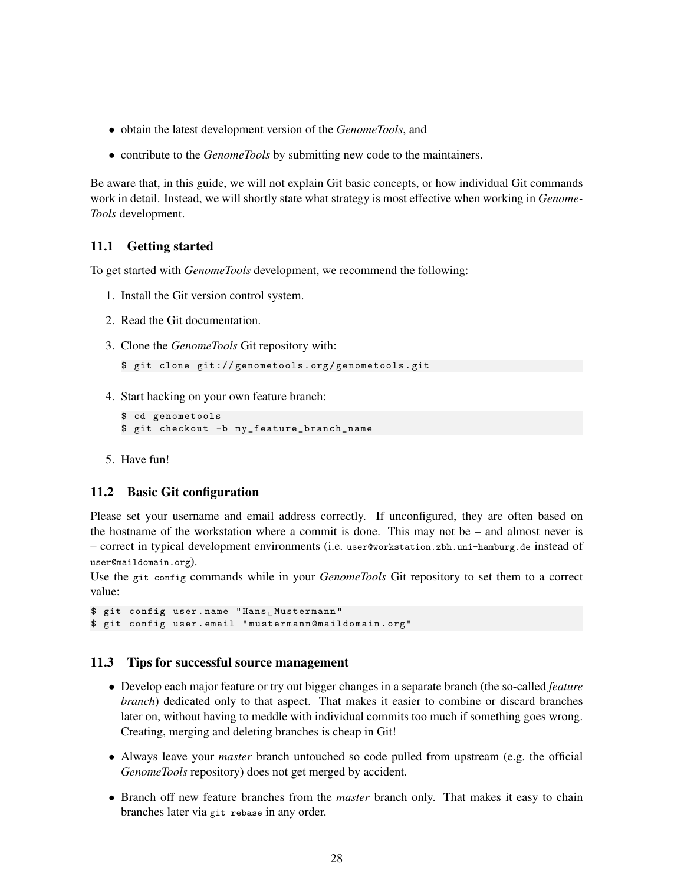- obtain the latest development version of the *GenomeTools*, and
- contribute to the *GenomeTools* by submitting new code to the maintainers.

Be aware that, in this guide, we will not explain Git basic concepts, or how individual Git commands work in detail. Instead, we will shortly state what strategy is most effective when working in *Genome-Tools* development.

### 11.1 Getting started

To get started with *GenomeTools* development, we recommend the following:

- 1. Install the Git version control system.
- 2. Read the Git documentation.
- 3. Clone the *GenomeTools* Git repository with:

```
$ git clone git :// genometools . org / genometools . git
```
4. Start hacking on your own feature branch:

```
$ cd genometools
$ git checkout -b my_feature_branch_name
```
5. Have fun!

#### 11.2 Basic Git configuration

Please set your username and email address correctly. If unconfigured, they are often based on the hostname of the workstation where a commit is done. This may not be  $-$  and almost never is – correct in typical development environments (i.e. user@workstation.zbh.uni-hamburg.de instead of user@maildomain.org).

Use the git config commands while in your *GenomeTools* Git repository to set them to a correct value:

```
$ git config user.name "Hans<sub>u</sub>Mustermann"
$ git config user . email " mustermann@maildomain . org "
```
#### 11.3 Tips for successful source management

- Develop each major feature or try out bigger changes in a separate branch (the so-called *feature branch*) dedicated only to that aspect. That makes it easier to combine or discard branches later on, without having to meddle with individual commits too much if something goes wrong. Creating, merging and deleting branches is cheap in Git!
- Always leave your *master* branch untouched so code pulled from upstream (e.g. the official *GenomeTools* repository) does not get merged by accident.
- Branch off new feature branches from the *master* branch only. That makes it easy to chain branches later via git rebase in any order.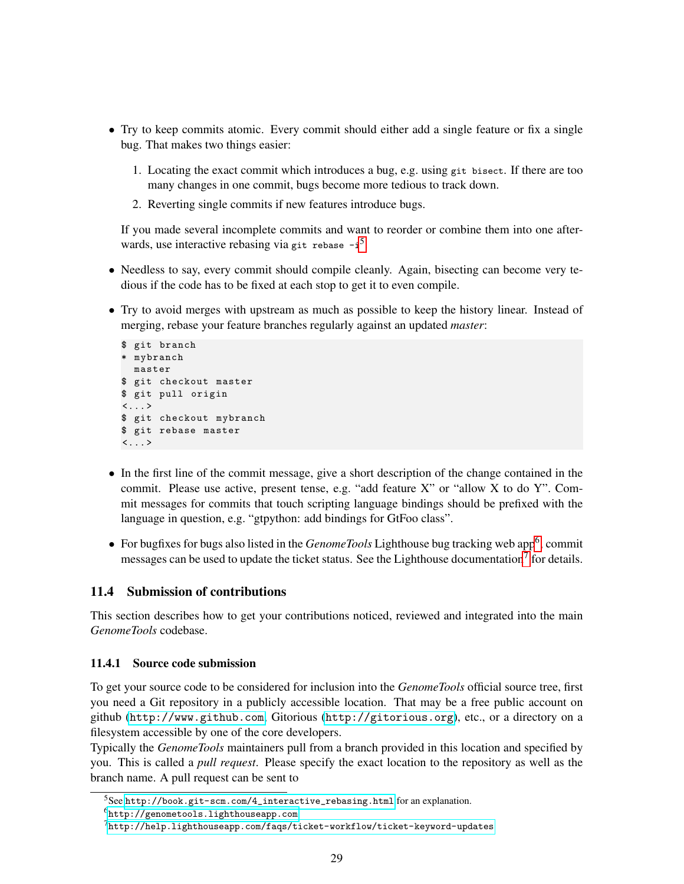- Try to keep commits atomic. Every commit should either add a single feature or fix a single bug. That makes two things easier:
	- 1. Locating the exact commit which introduces a bug, e.g. using git bisect. If there are too many changes in one commit, bugs become more tedious to track down.
	- 2. Reverting single commits if new features introduce bugs.

If you made several incomplete commits and want to reorder or combine them into one afterwards, use interactive rebasing via git rebase  $-i^5$  $-i^5$ .

- Needless to say, every commit should compile cleanly. Again, bisecting can become very tedious if the code has to be fixed at each stop to get it to even compile.
- Try to avoid merges with upstream as much as possible to keep the history linear. Instead of merging, rebase your feature branches regularly against an updated *master*:

```
$ git branch
* mybranch
 master
$ git checkout master
$ git pull origin
\langle \ldots \rangle$ git checkout mybranch
$ git rebase master
\langle \ldots \rangle
```
- In the first line of the commit message, give a short description of the change contained in the commit. Please use active, present tense, e.g. "add feature X" or "allow X to do Y". Commit messages for commits that touch scripting language bindings should be prefixed with the language in question, e.g. "gtpython: add bindings for GtFoo class".
- For bugfixes for bugs also listed in the *GenomeTools* Lighthouse bug tracking web app<sup>[6](#page-28-1)</sup>, commit messages can be used to update the ticket status. See the Lighthouse documentation<sup>[7](#page-28-2)</sup> for details.

## 11.4 Submission of contributions

This section describes how to get your contributions noticed, reviewed and integrated into the main *GenomeTools* codebase.

#### 11.4.1 Source code submission

To get your source code to be considered for inclusion into the *GenomeTools* official source tree, first you need a Git repository in a publicly accessible location. That may be a free public account on github (<http://www.github.com>, Gitorious (<http://gitorious.org>), etc., or a directory on a filesystem accessible by one of the core developers.

Typically the *GenomeTools* maintainers pull from a branch provided in this location and specified by you. This is called a *pull request*. Please specify the exact location to the repository as well as the branch name. A pull request can be sent to

<span id="page-28-0"></span> $5$ See [http://book.git-scm.com/4\\_interactive\\_rebasing.html](http://book.git-scm.com/4_interactive_rebasing.html) for an explanation.

<span id="page-28-1"></span><sup>6</sup><http://genometools.lighthouseapp.com>

<span id="page-28-2"></span> $^{7}$ <http://help.lighthouseapp.com/faqs/ticket-workflow/ticket-keyword-updates>